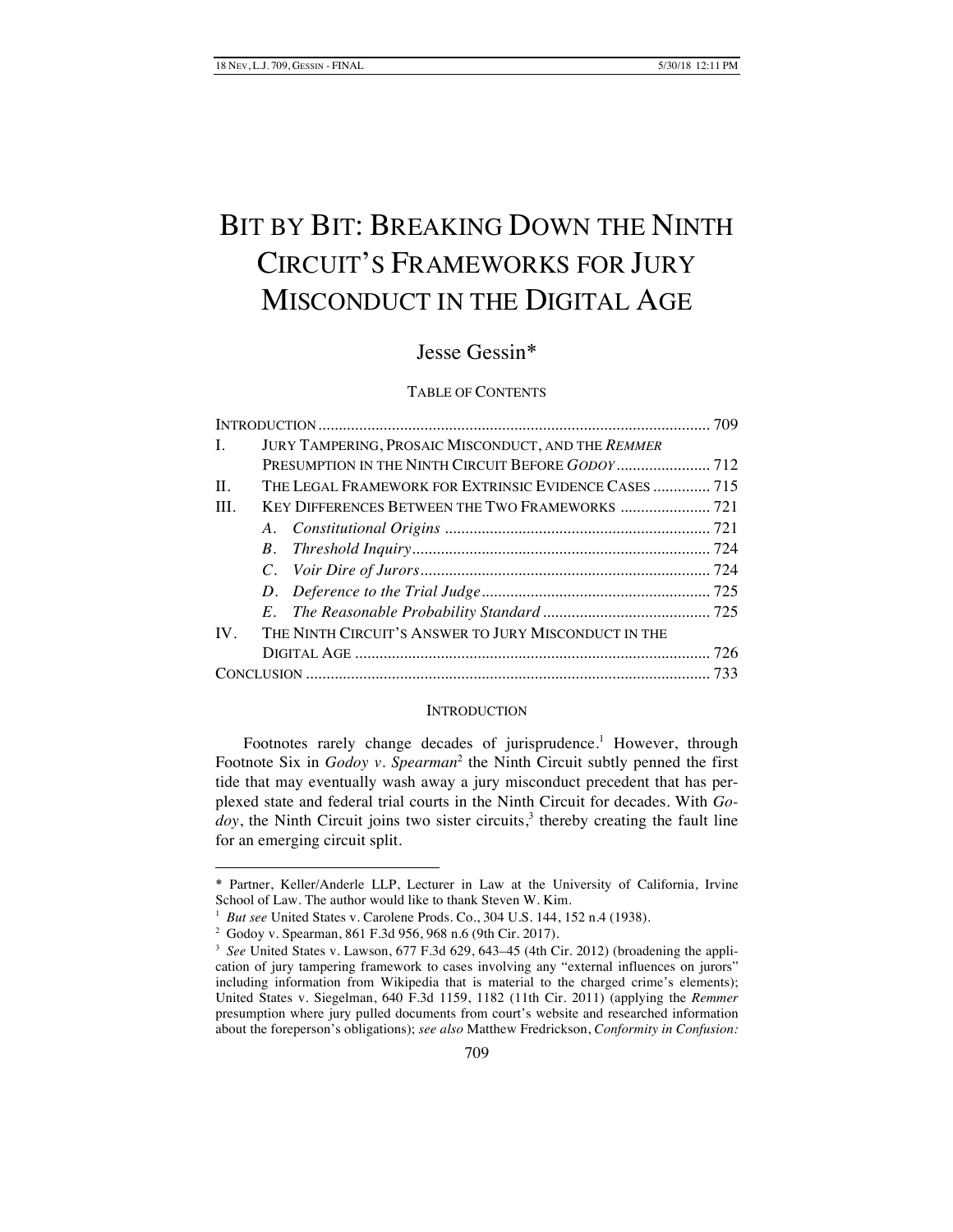# BIT BY BIT: BREAKING DOWN THE NINTH CIRCUIT'S FRAMEWORKS FOR JURY MISCONDUCT IN THE DIGITAL AGE

# Jesse Gessin\*

# TABLE OF CONTENTS

| $\mathbf{L}$ | JURY TAMPERING, PROSAIC MISCONDUCT, AND THE REMMER       |  |
|--------------|----------------------------------------------------------|--|
|              |                                                          |  |
| II.          | THE LEGAL FRAMEWORK FOR EXTRINSIC EVIDENCE CASES  715    |  |
| III.         |                                                          |  |
|              |                                                          |  |
|              |                                                          |  |
|              |                                                          |  |
|              |                                                          |  |
|              |                                                          |  |
|              | IV. THE NINTH CIRCUIT'S ANSWER TO JURY MISCONDUCT IN THE |  |
|              |                                                          |  |
|              |                                                          |  |

#### **INTRODUCTION**

Footnotes rarely change decades of jurisprudence.<sup>1</sup> However, through Footnote Six in *Godoy v. Spearman*<sup>2</sup> the Ninth Circuit subtly penned the first tide that may eventually wash away a jury misconduct precedent that has perplexed state and federal trial courts in the Ninth Circuit for decades. With *Go* $doy$ , the Ninth Circuit joins two sister circuits,<sup>3</sup> thereby creating the fault line for an emerging circuit split.

-

<sup>\*</sup> Partner, Keller/Anderle LLP, Lecturer in Law at the University of California, Irvine School of Law. The author would like to thank Steven W. Kim.

<sup>&</sup>lt;sup>1</sup> *But see* United States v. Carolene Prods. Co., 304 U.S. 144, 152 n.4 (1938).

<sup>2</sup> Godoy v. Spearman, 861 F.3d 956, 968 n.6 (9th Cir. 2017).

<sup>&</sup>lt;sup>3</sup> See United States v. Lawson, 677 F.3d 629, 643–45 (4th Cir. 2012) (broadening the application of jury tampering framework to cases involving any "external influences on jurors" including information from Wikipedia that is material to the charged crime's elements); United States v. Siegelman, 640 F.3d 1159, 1182 (11th Cir. 2011) (applying the *Remmer*  presumption where jury pulled documents from court's website and researched information about the foreperson's obligations); *see also* Matthew Fredrickson, *Conformity in Confusion:*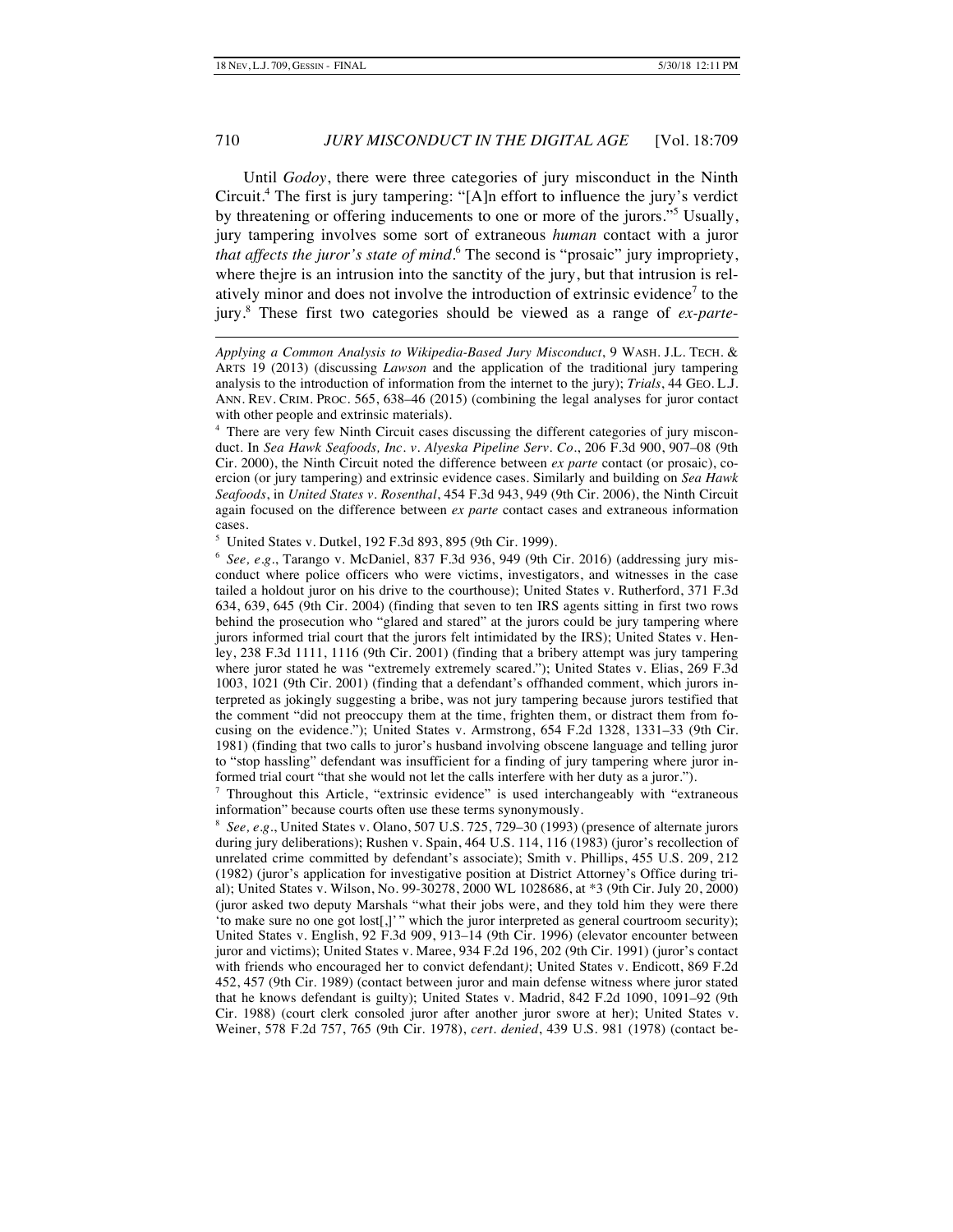-

# 710 *JURY MISCONDUCT IN THE DIGITAL AGE* [Vol. 18:709

Until *Godoy*, there were three categories of jury misconduct in the Ninth Circuit.4 The first is jury tampering: "[A]n effort to influence the jury's verdict by threatening or offering inducements to one or more of the jurors."<sup>5</sup> Usually, jury tampering involves some sort of extraneous *human* contact with a juror *that affects the juror's state of mind*. <sup>6</sup> The second is "prosaic" jury impropriety, where thejre is an intrusion into the sanctity of the jury, but that intrusion is relatively minor and does not involve the introduction of extrinsic evidence<sup>7</sup> to the jury.8 These first two categories should be viewed as a range of *ex-parte*-

*Applying a Common Analysis to Wikipedia-Based Jury Misconduct*, 9 WASH. J.L. TECH. & ARTS 19 (2013) (discussing *Lawson* and the application of the traditional jury tampering analysis to the introduction of information from the internet to the jury); *Trials*, 44 GEO. L.J. ANN. REV. CRIM. PROC. 565, 638–46 (2015) (combining the legal analyses for juror contact with other people and extrinsic materials).

<sup>&</sup>lt;sup>4</sup> There are very few Ninth Circuit cases discussing the different categories of jury misconduct. In *Sea Hawk Seafoods, Inc. v. Alyeska Pipeline Serv. Co.*, 206 F.3d 900, 907–08 (9th Cir. 2000), the Ninth Circuit noted the difference between *ex parte* contact (or prosaic), coercion (or jury tampering) and extrinsic evidence cases. Similarly and building on *Sea Hawk Seafoods*, in *United States v. Rosenthal*, 454 F.3d 943, 949 (9th Cir. 2006), the Ninth Circuit again focused on the difference between *ex parte* contact cases and extraneous information cases.

<sup>5</sup> United States v. Dutkel, 192 F.3d 893, 895 (9th Cir. 1999).

<sup>&</sup>lt;sup>6</sup> See, e.g., Tarango v. McDaniel, 837 F.3d 936, 949 (9th Cir. 2016) (addressing jury misconduct where police officers who were victims, investigators, and witnesses in the case tailed a holdout juror on his drive to the courthouse); United States v. Rutherford, 371 F.3d 634, 639, 645 (9th Cir. 2004) (finding that seven to ten IRS agents sitting in first two rows behind the prosecution who "glared and stared" at the jurors could be jury tampering where jurors informed trial court that the jurors felt intimidated by the IRS); United States v. Henley, 238 F.3d 1111, 1116 (9th Cir. 2001) (finding that a bribery attempt was jury tampering where juror stated he was "extremely extremely scared."); United States v. Elias, 269 F.3d 1003, 1021 (9th Cir. 2001) (finding that a defendant's offhanded comment, which jurors interpreted as jokingly suggesting a bribe, was not jury tampering because jurors testified that the comment "did not preoccupy them at the time, frighten them, or distract them from focusing on the evidence."); United States v. Armstrong, 654 F.2d 1328, 1331–33 (9th Cir. 1981) (finding that two calls to juror's husband involving obscene language and telling juror to "stop hassling" defendant was insufficient for a finding of jury tampering where juror informed trial court "that she would not let the calls interfere with her duty as a juror.").

<sup>&</sup>lt;sup>7</sup> Throughout this Article, "extrinsic evidence" is used interchangeably with "extraneous information" because courts often use these terms synonymously.

<sup>8</sup> *See, e.g.*, United States v. Olano, 507 U.S. 725, 729–30 (1993) (presence of alternate jurors during jury deliberations); Rushen v. Spain, 464 U.S. 114, 116 (1983) (juror's recollection of unrelated crime committed by defendant's associate); Smith v. Phillips, 455 U.S. 209, 212 (1982) (juror's application for investigative position at District Attorney's Office during trial); United States v. Wilson, No. 99-30278, 2000 WL 1028686, at \*3 (9th Cir. July 20, 2000) (juror asked two deputy Marshals "what their jobs were, and they told him they were there 'to make sure no one got lost[,]' " which the juror interpreted as general courtroom security); United States v. English, 92 F.3d 909, 913–14 (9th Cir. 1996) (elevator encounter between juror and victims); United States v. Maree, 934 F.2d 196, 202 (9th Cir. 1991) (juror's contact with friends who encouraged her to convict defendant*)*; United States v. Endicott, 869 F.2d 452, 457 (9th Cir. 1989) (contact between juror and main defense witness where juror stated that he knows defendant is guilty); United States v. Madrid, 842 F.2d 1090, 1091–92 (9th Cir. 1988) (court clerk consoled juror after another juror swore at her); United States v. Weiner, 578 F.2d 757, 765 (9th Cir. 1978), *cert. denied*, 439 U.S. 981 (1978) (contact be-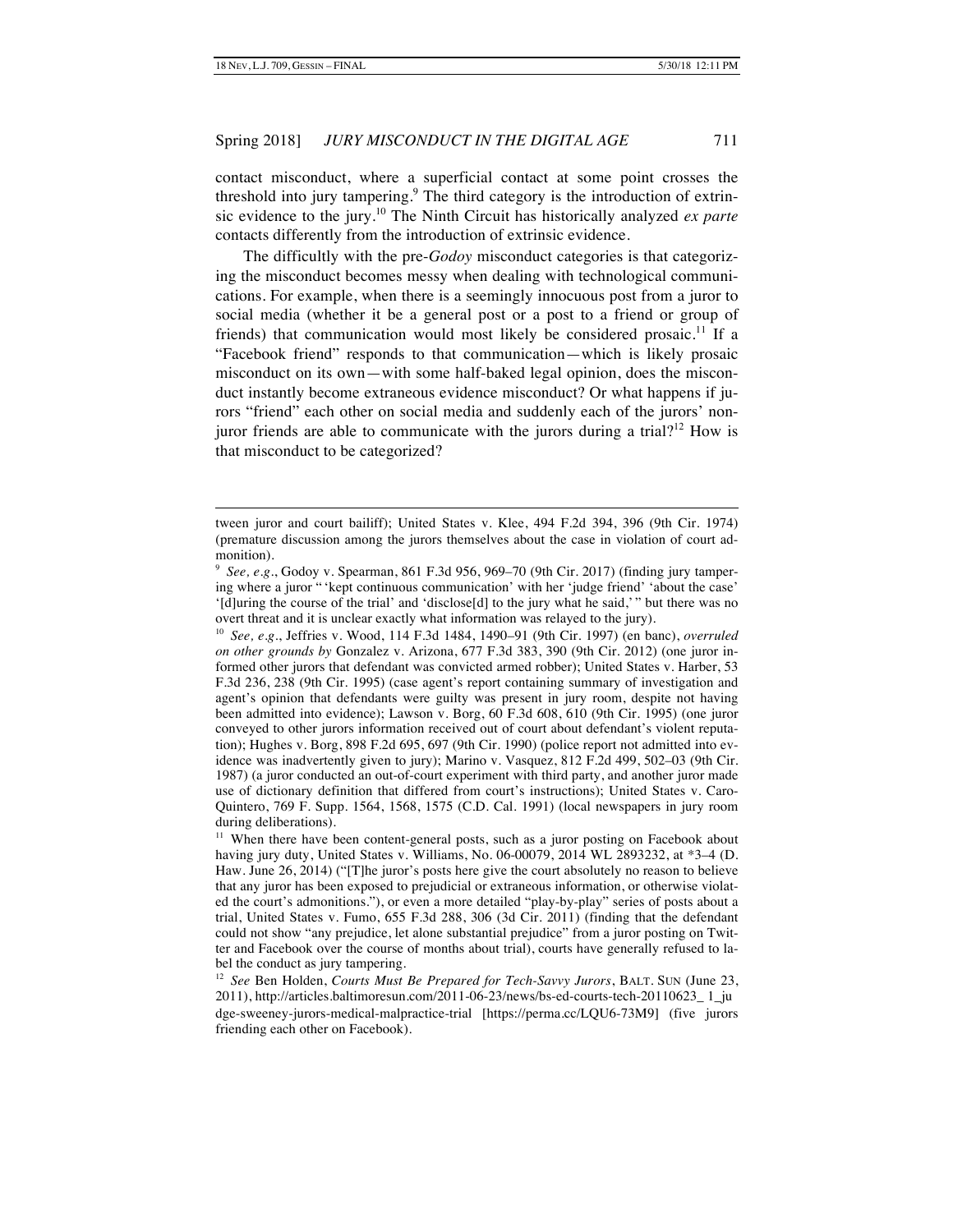-

#### Spring 2018] *JURY MISCONDUCT IN THE DIGITAL AGE* 711

contact misconduct, where a superficial contact at some point crosses the threshold into jury tampering.<sup>9</sup> The third category is the introduction of extrinsic evidence to the jury.<sup>10</sup> The Ninth Circuit has historically analyzed *ex parte* contacts differently from the introduction of extrinsic evidence.

The difficultly with the pre-*Godoy* misconduct categories is that categorizing the misconduct becomes messy when dealing with technological communications. For example, when there is a seemingly innocuous post from a juror to social media (whether it be a general post or a post to a friend or group of friends) that communication would most likely be considered prosaic.<sup>11</sup> If a "Facebook friend" responds to that communication—which is likely prosaic misconduct on its own—with some half-baked legal opinion, does the misconduct instantly become extraneous evidence misconduct? Or what happens if jurors "friend" each other on social media and suddenly each of the jurors' nonjuror friends are able to communicate with the jurors during a trial?<sup>12</sup> How is that misconduct to be categorized?

tween juror and court bailiff); United States v. Klee, 494 F.2d 394, 396 (9th Cir. 1974) (premature discussion among the jurors themselves about the case in violation of court admonition).

<sup>9</sup> *See, e.g.*, Godoy v. Spearman, 861 F.3d 956, 969–70 (9th Cir. 2017) (finding jury tampering where a juror " 'kept continuous communication' with her 'judge friend' 'about the case' '[d]uring the course of the trial' and 'disclose[d] to the jury what he said,' " but there was no overt threat and it is unclear exactly what information was relayed to the jury).

<sup>10</sup> *See, e.g.*, Jeffries v. Wood, 114 F.3d 1484, 1490–91 (9th Cir. 1997) (en banc), *overruled on other grounds by* Gonzalez v. Arizona, 677 F.3d 383, 390 (9th Cir. 2012) (one juror informed other jurors that defendant was convicted armed robber); United States v. Harber, 53 F.3d 236, 238 (9th Cir. 1995) (case agent's report containing summary of investigation and agent's opinion that defendants were guilty was present in jury room, despite not having been admitted into evidence); Lawson v. Borg, 60 F.3d 608, 610 (9th Cir. 1995) (one juror conveyed to other jurors information received out of court about defendant's violent reputation); Hughes v. Borg, 898 F.2d 695, 697 (9th Cir. 1990) (police report not admitted into evidence was inadvertently given to jury); Marino v. Vasquez, 812 F.2d 499, 502–03 (9th Cir. 1987) (a juror conducted an out-of-court experiment with third party, and another juror made use of dictionary definition that differed from court's instructions); United States v. Caro-Quintero, 769 F. Supp. 1564, 1568, 1575 (C.D. Cal. 1991) (local newspapers in jury room during deliberations).

<sup>&</sup>lt;sup>11</sup> When there have been content-general posts, such as a juror posting on Facebook about having jury duty, United States v. Williams, No. 06-00079, 2014 WL 2893232, at \*3–4 (D. Haw. June 26, 2014) ("[T]he juror's posts here give the court absolutely no reason to believe that any juror has been exposed to prejudicial or extraneous information, or otherwise violated the court's admonitions."), or even a more detailed "play-by-play" series of posts about a trial, United States v. Fumo, 655 F.3d 288, 306 (3d Cir. 2011) (finding that the defendant could not show "any prejudice, let alone substantial prejudice" from a juror posting on Twitter and Facebook over the course of months about trial), courts have generally refused to label the conduct as jury tampering.

<sup>12</sup> *See* Ben Holden, *Courts Must Be Prepared for Tech-Savvy Jurors*, BALT. SUN (June 23, 2011), http://articles.baltimoresun.com/2011-06-23/news/bs-ed-courts-tech-20110623\_ 1\_ju dge-sweeney-jurors-medical-malpractice-trial [https://perma.cc/LQU6-73M9] (five jurors friending each other on Facebook).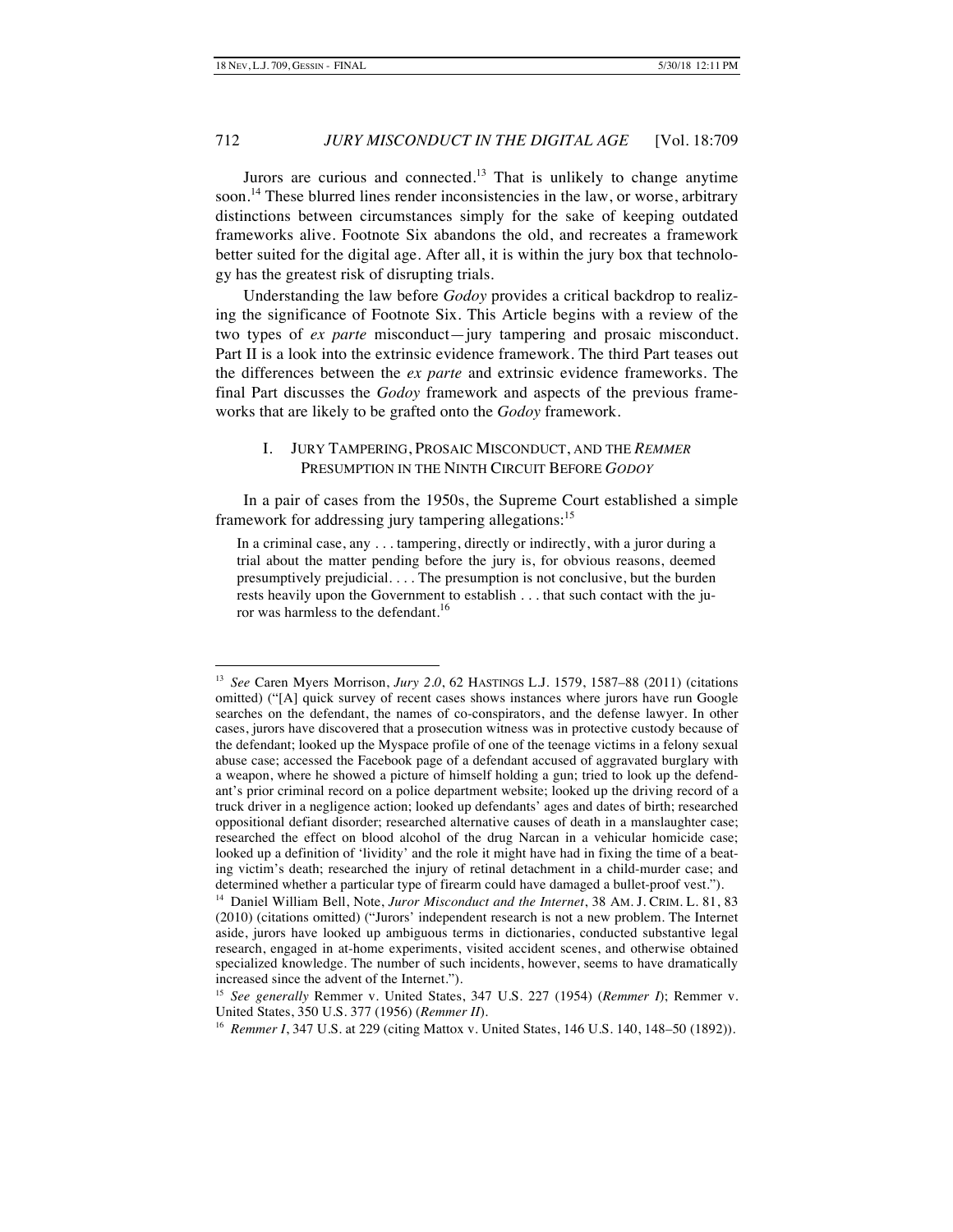Jurors are curious and connected.<sup>13</sup> That is unlikely to change anytime soon.<sup>14</sup> These blurred lines render inconsistencies in the law, or worse, arbitrary distinctions between circumstances simply for the sake of keeping outdated frameworks alive. Footnote Six abandons the old, and recreates a framework better suited for the digital age. After all, it is within the jury box that technology has the greatest risk of disrupting trials.

Understanding the law before *Godoy* provides a critical backdrop to realizing the significance of Footnote Six. This Article begins with a review of the two types of *ex parte* misconduct—jury tampering and prosaic misconduct. Part II is a look into the extrinsic evidence framework. The third Part teases out the differences between the *ex parte* and extrinsic evidence frameworks. The final Part discusses the *Godoy* framework and aspects of the previous frameworks that are likely to be grafted onto the *Godoy* framework.

# I. JURY TAMPERING, PROSAIC MISCONDUCT, AND THE *REMMER* PRESUMPTION IN THE NINTH CIRCUIT BEFORE *GODOY*

In a pair of cases from the 1950s, the Supreme Court established a simple framework for addressing jury tampering allegations:<sup>15</sup>

In a criminal case, any . . . tampering, directly or indirectly, with a juror during a trial about the matter pending before the jury is, for obvious reasons, deemed presumptively prejudicial. . . . The presumption is not conclusive, but the burden rests heavily upon the Government to establish . . . that such contact with the juror was harmless to the defendant.<sup>16</sup>

 <sup>13</sup> *See* Caren Myers Morrison, *Jury 2.0*, 62 HASTINGS L.J. 1579, 1587–88 (2011) (citations omitted) ("[A] quick survey of recent cases shows instances where jurors have run Google searches on the defendant, the names of co-conspirators, and the defense lawyer. In other cases, jurors have discovered that a prosecution witness was in protective custody because of the defendant; looked up the Myspace profile of one of the teenage victims in a felony sexual abuse case; accessed the Facebook page of a defendant accused of aggravated burglary with a weapon, where he showed a picture of himself holding a gun; tried to look up the defendant's prior criminal record on a police department website; looked up the driving record of a truck driver in a negligence action; looked up defendants' ages and dates of birth; researched oppositional defiant disorder; researched alternative causes of death in a manslaughter case; researched the effect on blood alcohol of the drug Narcan in a vehicular homicide case; looked up a definition of 'lividity' and the role it might have had in fixing the time of a beating victim's death; researched the injury of retinal detachment in a child-murder case; and determined whether a particular type of firearm could have damaged a bullet-proof vest.").

<sup>14</sup> Daniel William Bell, Note, *Juror Misconduct and the Internet*, 38 AM. J. CRIM. L. 81, 83 (2010) (citations omitted) ("Jurors' independent research is not a new problem. The Internet aside, jurors have looked up ambiguous terms in dictionaries, conducted substantive legal research, engaged in at-home experiments, visited accident scenes, and otherwise obtained specialized knowledge. The number of such incidents, however, seems to have dramatically increased since the advent of the Internet.").

<sup>15</sup> *See generally* Remmer v. United States, 347 U.S. 227 (1954) (*Remmer I*); Remmer v. United States, 350 U.S. 377 (1956) (*Remmer II*).

<sup>16</sup> *Remmer I*, 347 U.S. at 229 (citing Mattox v. United States, 146 U.S. 140, 148–50 (1892)).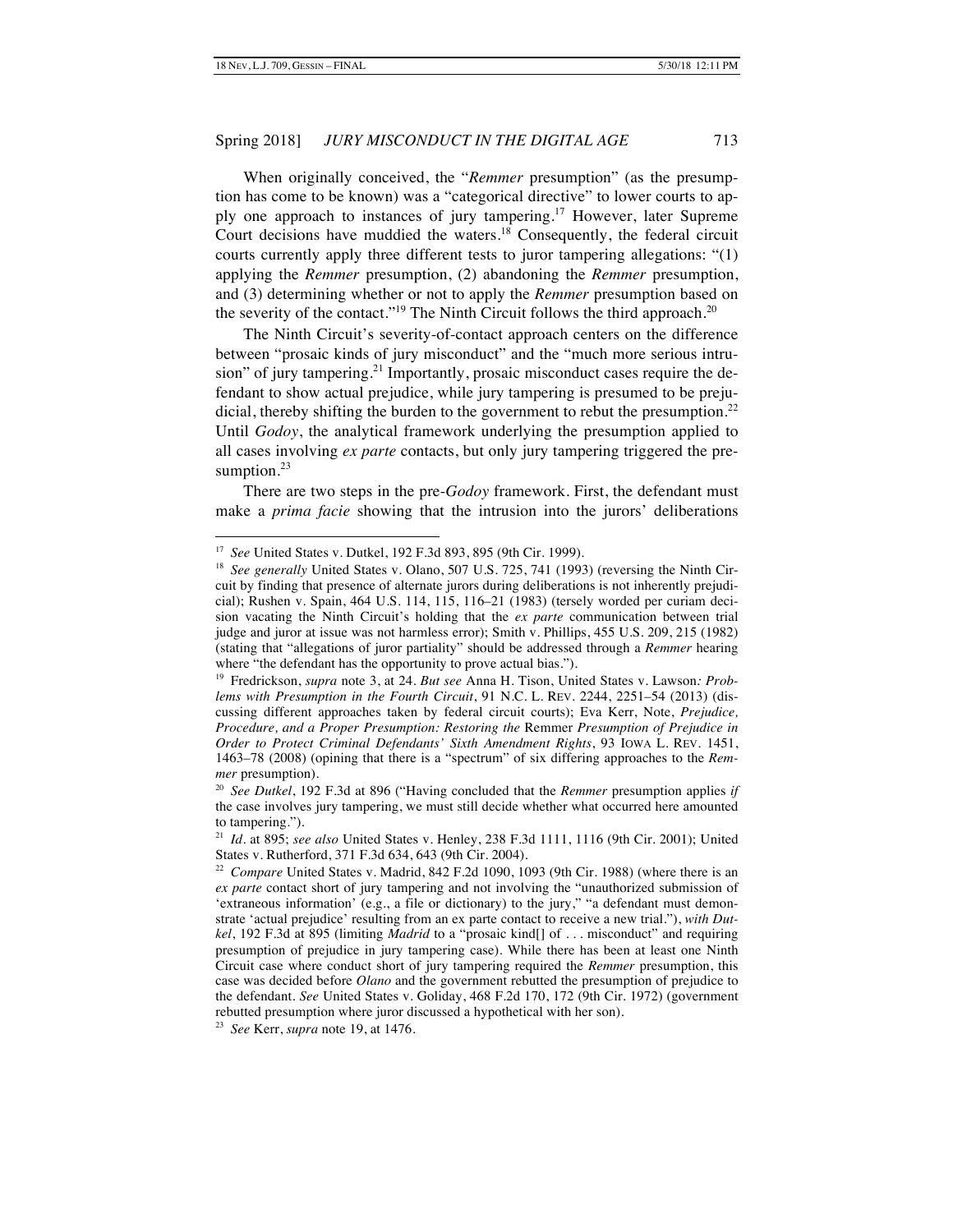When originally conceived, the "*Remmer* presumption" (as the presumption has come to be known) was a "categorical directive" to lower courts to apply one approach to instances of jury tampering.<sup>17</sup> However, later Supreme Court decisions have muddied the waters.<sup>18</sup> Consequently, the federal circuit courts currently apply three different tests to juror tampering allegations: "(1) applying the *Remmer* presumption, (2) abandoning the *Remmer* presumption, and (3) determining whether or not to apply the *Remmer* presumption based on the severity of the contact."<sup>19</sup> The Ninth Circuit follows the third approach.<sup>20</sup>

The Ninth Circuit's severity-of-contact approach centers on the difference between "prosaic kinds of jury misconduct" and the "much more serious intrusion" of jury tampering.<sup>21</sup> Importantly, prosaic misconduct cases require the defendant to show actual prejudice, while jury tampering is presumed to be prejudicial, thereby shifting the burden to the government to rebut the presumption.<sup>22</sup> Until *Godoy*, the analytical framework underlying the presumption applied to all cases involving *ex parte* contacts, but only jury tampering triggered the presumption.<sup>23</sup>

There are two steps in the pre-*Godoy* framework. First, the defendant must make a *prima facie* showing that the intrusion into the jurors' deliberations

23 *See* Kerr, *supra* note 19, at 1476.

 <sup>17</sup> *See* United States v. Dutkel, 192 F.3d 893, 895 (9th Cir. 1999).

<sup>&</sup>lt;sup>18</sup> See generally United States v. Olano, 507 U.S. 725, 741 (1993) (reversing the Ninth Circuit by finding that presence of alternate jurors during deliberations is not inherently prejudicial); Rushen v. Spain, 464 U.S. 114, 115, 116–21 (1983) (tersely worded per curiam decision vacating the Ninth Circuit's holding that the *ex parte* communication between trial judge and juror at issue was not harmless error); Smith v. Phillips, 455 U.S. 209, 215 (1982) (stating that "allegations of juror partiality" should be addressed through a *Remmer* hearing where "the defendant has the opportunity to prove actual bias.").

<sup>19</sup> Fredrickson, *supra* note 3, at 24. *But see* Anna H. Tison, United States v. Lawson*: Problems with Presumption in the Fourth Circuit*, 91 N.C. L. REV. 2244, 2251–54 (2013) (discussing different approaches taken by federal circuit courts); Eva Kerr, Note, *Prejudice, Procedure, and a Proper Presumption: Restoring the* Remmer *Presumption of Prejudice in Order to Protect Criminal Defendants' Sixth Amendment Rights*, 93 IOWA L. REV. 1451, 1463–78 (2008) (opining that there is a "spectrum" of six differing approaches to the *Remmer* presumption).

<sup>20</sup> *See Dutkel*, 192 F.3d at 896 ("Having concluded that the *Remmer* presumption applies *if* the case involves jury tampering, we must still decide whether what occurred here amounted to tampering.").

<sup>21</sup> *Id.* at 895; *see also* United States v. Henley, 238 F.3d 1111, 1116 (9th Cir. 2001); United States v. Rutherford, 371 F.3d 634, 643 (9th Cir. 2004).

<sup>22</sup> *Compare* United States v. Madrid, 842 F.2d 1090, 1093 (9th Cir. 1988) (where there is an *ex parte* contact short of jury tampering and not involving the "unauthorized submission of 'extraneous information' (e.g., a file or dictionary) to the jury," "a defendant must demonstrate 'actual prejudice' resulting from an ex parte contact to receive a new trial."), *with Dutkel*, 192 F.3d at 895 (limiting *Madrid* to a "prosaic kind[] of . . . misconduct" and requiring presumption of prejudice in jury tampering case). While there has been at least one Ninth Circuit case where conduct short of jury tampering required the *Remmer* presumption, this case was decided before *Olano* and the government rebutted the presumption of prejudice to the defendant. *See* United States v. Goliday, 468 F.2d 170, 172 (9th Cir. 1972) (government rebutted presumption where juror discussed a hypothetical with her son).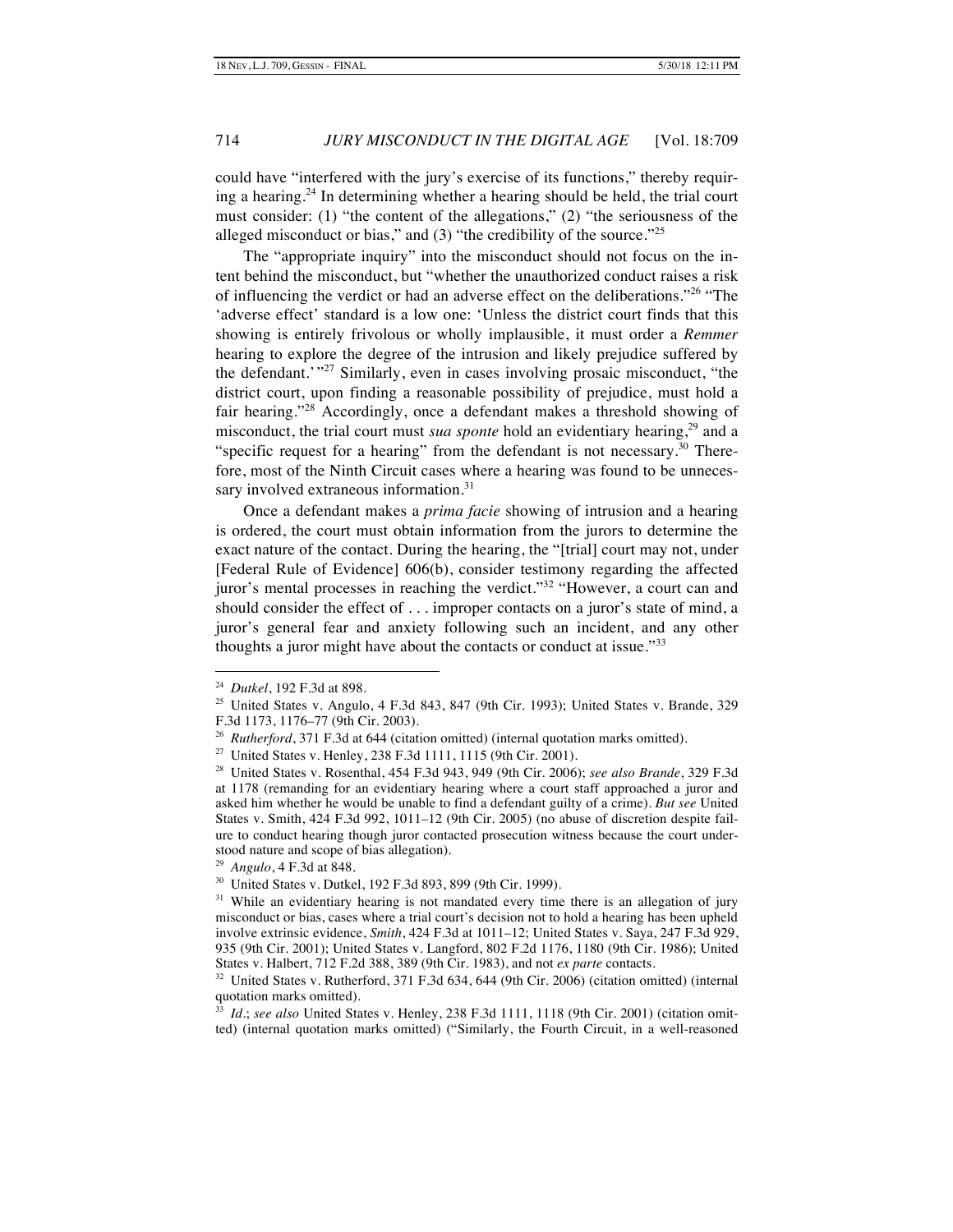could have "interfered with the jury's exercise of its functions," thereby requiring a hearing.<sup>24</sup> In determining whether a hearing should be held, the trial court must consider: (1) "the content of the allegations," (2) "the seriousness of the alleged misconduct or bias," and  $(3)$  "the credibility of the source."<sup>25</sup>

The "appropriate inquiry" into the misconduct should not focus on the intent behind the misconduct, but "whether the unauthorized conduct raises a risk of influencing the verdict or had an adverse effect on the deliberations."<sup>26</sup> "The 'adverse effect' standard is a low one: 'Unless the district court finds that this showing is entirely frivolous or wholly implausible, it must order a *Remmer* hearing to explore the degree of the intrusion and likely prejudice suffered by the defendant.<sup>'</sup> "<sup>27</sup> Similarly, even in cases involving prosaic misconduct, "the district court, upon finding a reasonable possibility of prejudice, must hold a fair hearing."<sup>28</sup> Accordingly, once a defendant makes a threshold showing of misconduct, the trial court must *sua sponte* hold an evidentiary hearing,<sup>29</sup> and a "specific request for a hearing" from the defendant is not necessary. $30$  Therefore, most of the Ninth Circuit cases where a hearing was found to be unnecessary involved extraneous information.<sup>31</sup>

Once a defendant makes a *prima facie* showing of intrusion and a hearing is ordered, the court must obtain information from the jurors to determine the exact nature of the contact. During the hearing, the "[trial] court may not, under [Federal Rule of Evidence] 606(b), consider testimony regarding the affected juror's mental processes in reaching the verdict."<sup>32</sup> "However, a court can and should consider the effect of . . . improper contacts on a juror's state of mind, a juror's general fear and anxiety following such an incident, and any other thoughts a juror might have about the contacts or conduct at issue." $33$ 

 <sup>24</sup> *Dutkel*, 192 F.3d at 898.

<sup>25</sup> United States v. Angulo, 4 F.3d 843, 847 (9th Cir. 1993); United States v. Brande, 329 F.3d 1173, 1176–77 (9th Cir. 2003).

<sup>&</sup>lt;sup>26</sup> *Rutherford*, 371 F.3d at 644 (citation omitted) (internal quotation marks omitted).

<sup>27</sup> United States v. Henley, 238 F.3d 1111, 1115 (9th Cir. 2001).

<sup>28</sup> United States v. Rosenthal, 454 F.3d 943, 949 (9th Cir. 2006); *see also Brande*, 329 F.3d at 1178 (remanding for an evidentiary hearing where a court staff approached a juror and asked him whether he would be unable to find a defendant guilty of a crime). *But see* United States v. Smith, 424 F.3d 992, 1011–12 (9th Cir. 2005) (no abuse of discretion despite failure to conduct hearing though juror contacted prosecution witness because the court understood nature and scope of bias allegation).

<sup>29</sup> *Angulo*, 4 F.3d at 848.

<sup>30</sup> United States v. Dutkel, 192 F.3d 893, 899 (9th Cir. 1999).

<sup>&</sup>lt;sup>31</sup> While an evidentiary hearing is not mandated every time there is an allegation of jury misconduct or bias, cases where a trial court's decision not to hold a hearing has been upheld involve extrinsic evidence, *Smith*, 424 F.3d at 1011–12; United States v. Saya, 247 F.3d 929, 935 (9th Cir. 2001); United States v. Langford, 802 F.2d 1176, 1180 (9th Cir. 1986); United States v. Halbert, 712 F.2d 388, 389 (9th Cir. 1983), and not *ex parte* contacts.

<sup>32</sup> United States v. Rutherford, 371 F.3d 634, 644 (9th Cir. 2006) (citation omitted) (internal quotation marks omitted).

<sup>33</sup> *Id.*; *see also* United States v. Henley, 238 F.3d 1111, 1118 (9th Cir. 2001) (citation omit-

ted) (internal quotation marks omitted) ("Similarly, the Fourth Circuit, in a well-reasoned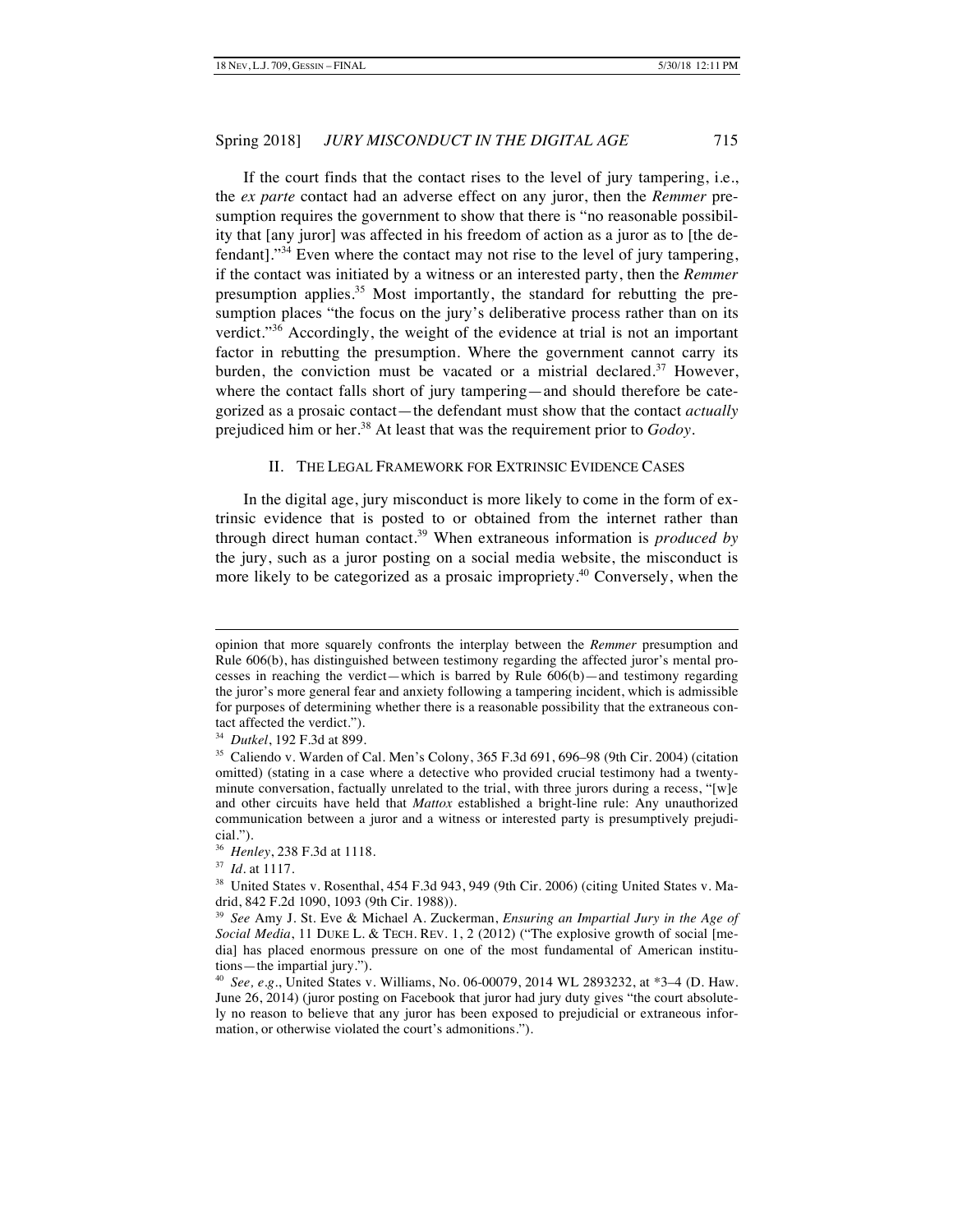If the court finds that the contact rises to the level of jury tampering, i.e., the *ex parte* contact had an adverse effect on any juror, then the *Remmer* presumption requires the government to show that there is "no reasonable possibility that [any juror] was affected in his freedom of action as a juror as to [the defendant]."<sup>34</sup> Even where the contact may not rise to the level of jury tampering, if the contact was initiated by a witness or an interested party, then the *Remmer*  presumption applies.<sup>35</sup> Most importantly, the standard for rebutting the presumption places "the focus on the jury's deliberative process rather than on its verdict."<sup>36</sup> Accordingly, the weight of the evidence at trial is not an important factor in rebutting the presumption. Where the government cannot carry its burden, the conviction must be vacated or a mistrial declared.<sup>37</sup> However, where the contact falls short of jury tampering—and should therefore be categorized as a prosaic contact—the defendant must show that the contact *actually* prejudiced him or her.<sup>38</sup> At least that was the requirement prior to *Godoy*.

#### II. THE LEGAL FRAMEWORK FOR EXTRINSIC EVIDENCE CASES

In the digital age, jury misconduct is more likely to come in the form of extrinsic evidence that is posted to or obtained from the internet rather than through direct human contact.<sup>39</sup> When extraneous information is *produced by* the jury, such as a juror posting on a social media website, the misconduct is more likely to be categorized as a prosaic impropriety.<sup>40</sup> Conversely, when the

-

opinion that more squarely confronts the interplay between the *Remmer* presumption and Rule 606(b), has distinguished between testimony regarding the affected juror's mental processes in reaching the verdict—which is barred by Rule 606(b)—and testimony regarding the juror's more general fear and anxiety following a tampering incident, which is admissible for purposes of determining whether there is a reasonable possibility that the extraneous contact affected the verdict.").

<sup>34</sup> *Dutkel*, 192 F.3d at 899.

<sup>35</sup> Caliendo v. Warden of Cal. Men's Colony, 365 F.3d 691, 696–98 (9th Cir. 2004) (citation omitted) (stating in a case where a detective who provided crucial testimony had a twentyminute conversation, factually unrelated to the trial, with three jurors during a recess, "[w]e and other circuits have held that *Mattox* established a bright-line rule: Any unauthorized communication between a juror and a witness or interested party is presumptively prejudicial.").

<sup>36</sup> *Henley*, 238 F.3d at 1118.

<sup>37</sup> *Id.* at 1117.

<sup>&</sup>lt;sup>38</sup> United States v. Rosenthal, 454 F.3d 943, 949 (9th Cir. 2006) (citing United States v. Madrid, 842 F.2d 1090, 1093 (9th Cir. 1988)).

<sup>39</sup> *See* Amy J. St. Eve & Michael A. Zuckerman, *Ensuring an Impartial Jury in the Age of Social Media*, 11 DUKE L. & TECH. REV. 1, 2 (2012) ("The explosive growth of social [media] has placed enormous pressure on one of the most fundamental of American institutions—the impartial jury.").

<sup>40</sup> *See, e.g.*, United States v. Williams, No. 06-00079, 2014 WL 2893232, at \*3–4 (D. Haw. June 26, 2014) (juror posting on Facebook that juror had jury duty gives "the court absolutely no reason to believe that any juror has been exposed to prejudicial or extraneous information, or otherwise violated the court's admonitions.").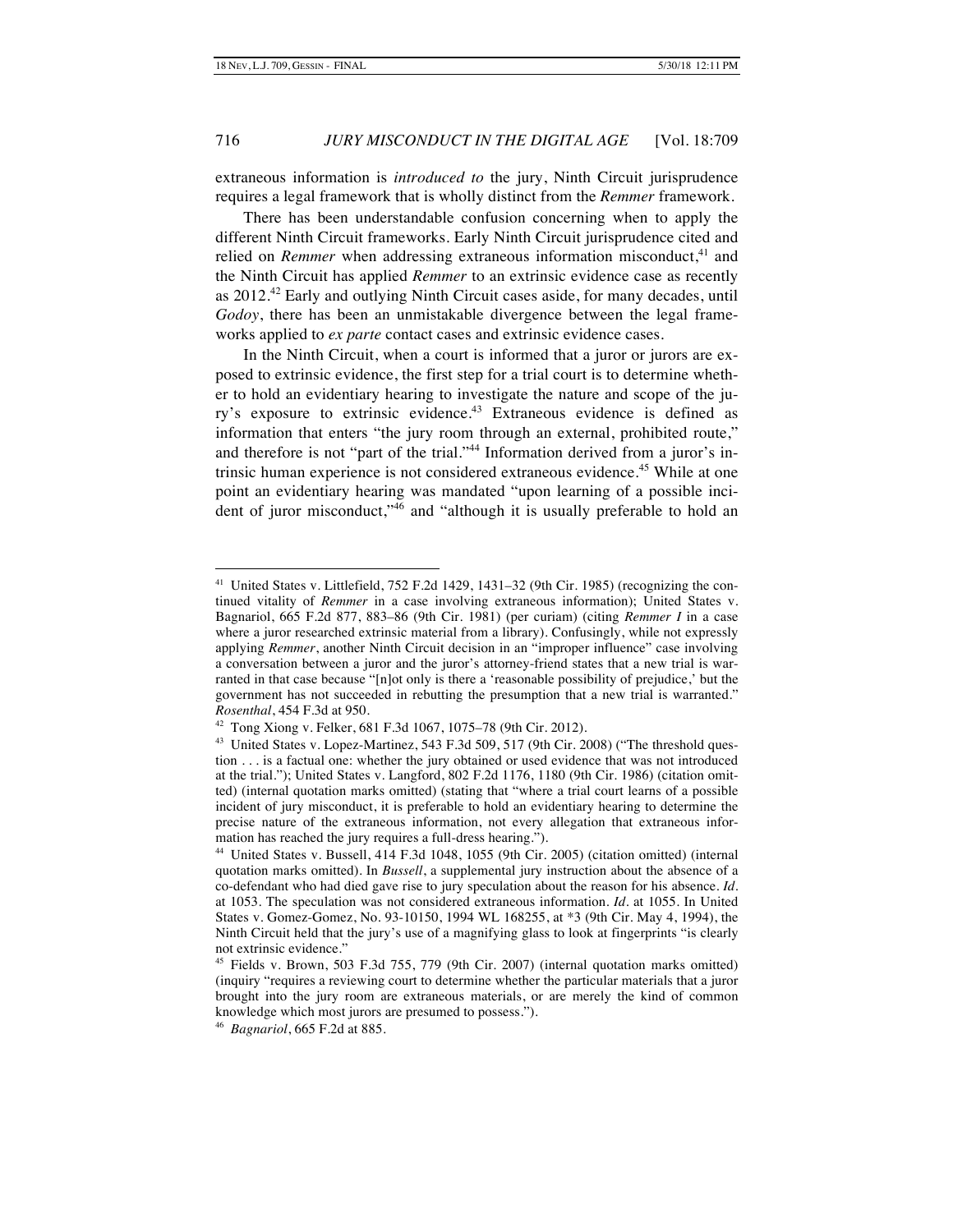extraneous information is *introduced to* the jury, Ninth Circuit jurisprudence requires a legal framework that is wholly distinct from the *Remmer* framework.

There has been understandable confusion concerning when to apply the different Ninth Circuit frameworks. Early Ninth Circuit jurisprudence cited and relied on *Remmer* when addressing extraneous information misconduct,<sup>41</sup> and the Ninth Circuit has applied *Remmer* to an extrinsic evidence case as recently as  $2012<sup>42</sup>$  Early and outlying Ninth Circuit cases aside, for many decades, until *Godoy*, there has been an unmistakable divergence between the legal frameworks applied to *ex parte* contact cases and extrinsic evidence cases.

In the Ninth Circuit, when a court is informed that a juror or jurors are exposed to extrinsic evidence, the first step for a trial court is to determine whether to hold an evidentiary hearing to investigate the nature and scope of the jury's exposure to extrinsic evidence.<sup>43</sup> Extraneous evidence is defined as information that enters "the jury room through an external, prohibited route," and therefore is not "part of the trial."<sup>44</sup> Information derived from a juror's intrinsic human experience is not considered extraneous evidence.<sup>45</sup> While at one point an evidentiary hearing was mandated "upon learning of a possible incident of juror misconduct,"<sup>46</sup> and "although it is usually preferable to hold an

<sup>&</sup>lt;sup>41</sup> United States v. Littlefield, 752 F.2d 1429, 1431-32 (9th Cir. 1985) (recognizing the continued vitality of *Remmer* in a case involving extraneous information); United States v. Bagnariol, 665 F.2d 877, 883–86 (9th Cir. 1981) (per curiam) (citing *Remmer I* in a case where a juror researched extrinsic material from a library). Confusingly, while not expressly applying *Remmer*, another Ninth Circuit decision in an "improper influence" case involving a conversation between a juror and the juror's attorney-friend states that a new trial is warranted in that case because "[n]ot only is there a 'reasonable possibility of prejudice,' but the government has not succeeded in rebutting the presumption that a new trial is warranted." *Rosenthal*, 454 F.3d at 950.

 $42$  Tong Xiong v. Felker, 681 F.3d 1067, 1075–78 (9th Cir. 2012).

<sup>&</sup>lt;sup>43</sup> United States v. Lopez-Martinez, 543 F.3d 509, 517 (9th Cir. 2008) ("The threshold question . . . is a factual one: whether the jury obtained or used evidence that was not introduced at the trial."); United States v. Langford, 802 F.2d 1176, 1180 (9th Cir. 1986) (citation omitted) (internal quotation marks omitted) (stating that "where a trial court learns of a possible incident of jury misconduct, it is preferable to hold an evidentiary hearing to determine the precise nature of the extraneous information, not every allegation that extraneous information has reached the jury requires a full-dress hearing.").

<sup>44</sup> United States v. Bussell, 414 F.3d 1048, 1055 (9th Cir. 2005) (citation omitted) (internal quotation marks omitted). In *Bussell*, a supplemental jury instruction about the absence of a co-defendant who had died gave rise to jury speculation about the reason for his absence. *Id.* at 1053. The speculation was not considered extraneous information. *Id.* at 1055. In United States v. Gomez-Gomez, No. 93-10150, 1994 WL 168255, at \*3 (9th Cir. May 4, 1994), the Ninth Circuit held that the jury's use of a magnifying glass to look at fingerprints "is clearly not extrinsic evidence."

<sup>45</sup> Fields v. Brown, 503 F.3d 755, 779 (9th Cir. 2007) (internal quotation marks omitted) (inquiry "requires a reviewing court to determine whether the particular materials that a juror brought into the jury room are extraneous materials, or are merely the kind of common knowledge which most jurors are presumed to possess.").

<sup>46</sup> *Bagnariol*, 665 F.2d at 885.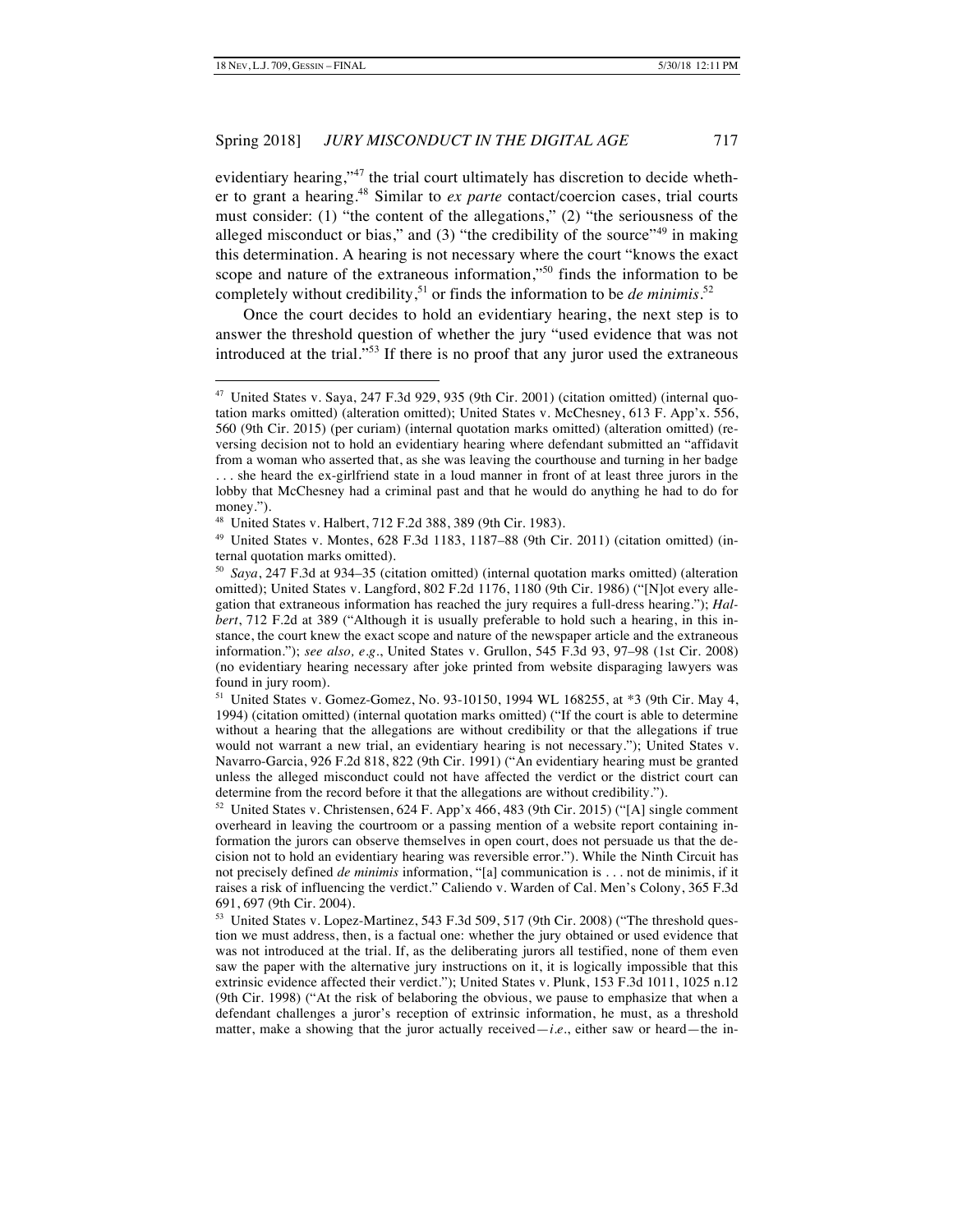evidentiary hearing,"<sup>47</sup> the trial court ultimately has discretion to decide whether to grant a hearing.48 Similar to *ex parte* contact/coercion cases, trial courts must consider: (1) "the content of the allegations," (2) "the seriousness of the alleged misconduct or bias," and  $(3)$  "the credibility of the source"<sup>49</sup> in making this determination. A hearing is not necessary where the court "knows the exact scope and nature of the extraneous information,"<sup>50</sup> finds the information to be completely without credibility,<sup>51</sup> or finds the information to be *de minimis*.<sup>52</sup>

Once the court decides to hold an evidentiary hearing, the next step is to answer the threshold question of whether the jury "used evidence that was not introduced at the trial."<sup>53</sup> If there is no proof that any juror used the extraneous

53 United States v. Lopez-Martinez, 543 F.3d 509, 517 (9th Cir. 2008) ("The threshold question we must address, then, is a factual one: whether the jury obtained or used evidence that was not introduced at the trial. If, as the deliberating jurors all testified, none of them even saw the paper with the alternative jury instructions on it, it is logically impossible that this extrinsic evidence affected their verdict."); United States v. Plunk, 153 F.3d 1011, 1025 n.12 (9th Cir. 1998) ("At the risk of belaboring the obvious, we pause to emphasize that when a defendant challenges a juror's reception of extrinsic information, he must, as a threshold matter, make a showing that the juror actually received—*i.e.*, either saw or heard—the in-

<sup>&</sup>lt;sup>47</sup> United States v. Saya, 247 F.3d 929, 935 (9th Cir. 2001) (citation omitted) (internal quotation marks omitted) (alteration omitted); United States v. McChesney, 613 F. App'x. 556, 560 (9th Cir. 2015) (per curiam) (internal quotation marks omitted) (alteration omitted) (reversing decision not to hold an evidentiary hearing where defendant submitted an "affidavit from a woman who asserted that, as she was leaving the courthouse and turning in her badge . . . she heard the ex-girlfriend state in a loud manner in front of at least three jurors in the lobby that McChesney had a criminal past and that he would do anything he had to do for money.").

<sup>48</sup> United States v. Halbert, 712 F.2d 388, 389 (9th Cir. 1983).

<sup>49</sup> United States v. Montes, 628 F.3d 1183, 1187–88 (9th Cir. 2011) (citation omitted) (internal quotation marks omitted).

<sup>50</sup> *Saya*, 247 F.3d at 934–35 (citation omitted) (internal quotation marks omitted) (alteration omitted); United States v. Langford, 802 F.2d 1176, 1180 (9th Cir. 1986) ("[N]ot every allegation that extraneous information has reached the jury requires a full-dress hearing."); *Halbert*, 712 F.2d at 389 ("Although it is usually preferable to hold such a hearing, in this instance, the court knew the exact scope and nature of the newspaper article and the extraneous information."); *see also, e.g.*, United States v. Grullon, 545 F.3d 93, 97–98 (1st Cir. 2008) (no evidentiary hearing necessary after joke printed from website disparaging lawyers was found in jury room).

<sup>&</sup>lt;sup>51</sup> United States v. Gomez-Gomez, No. 93-10150, 1994 WL 168255, at  $*3$  (9th Cir. May 4, 1994) (citation omitted) (internal quotation marks omitted) ("If the court is able to determine without a hearing that the allegations are without credibility or that the allegations if true would not warrant a new trial, an evidentiary hearing is not necessary."); United States v. Navarro-Garcia, 926 F.2d 818, 822 (9th Cir. 1991) ("An evidentiary hearing must be granted unless the alleged misconduct could not have affected the verdict or the district court can determine from the record before it that the allegations are without credibility.").

<sup>52</sup> United States v. Christensen, 624 F. App'x 466, 483 (9th Cir. 2015) ("[A] single comment overheard in leaving the courtroom or a passing mention of a website report containing information the jurors can observe themselves in open court, does not persuade us that the decision not to hold an evidentiary hearing was reversible error."). While the Ninth Circuit has not precisely defined *de minimis* information, "[a] communication is . . . not de minimis, if it raises a risk of influencing the verdict." Caliendo v. Warden of Cal. Men's Colony, 365 F.3d 691, 697 (9th Cir. 2004).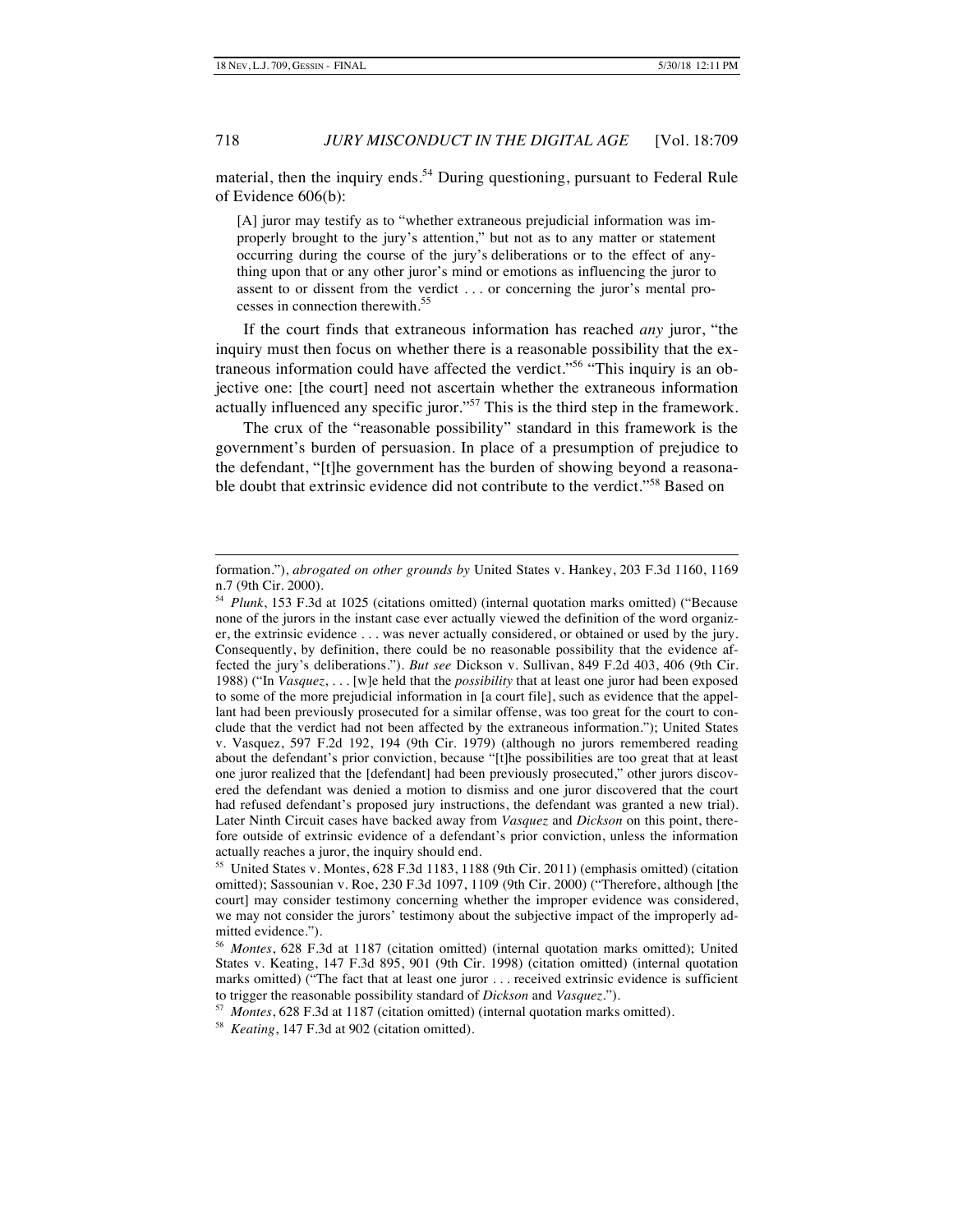-

# 718 *JURY MISCONDUCT IN THE DIGITAL AGE* [Vol. 18:709

material, then the inquiry ends.<sup>54</sup> During questioning, pursuant to Federal Rule of Evidence 606(b):

[A] juror may testify as to "whether extraneous prejudicial information was improperly brought to the jury's attention," but not as to any matter or statement occurring during the course of the jury's deliberations or to the effect of anything upon that or any other juror's mind or emotions as influencing the juror to assent to or dissent from the verdict . . . or concerning the juror's mental processes in connection therewith.<sup>55</sup>

If the court finds that extraneous information has reached *any* juror, "the inquiry must then focus on whether there is a reasonable possibility that the extraneous information could have affected the verdict."56 "This inquiry is an objective one: [the court] need not ascertain whether the extraneous information actually influenced any specific juror."<sup>57</sup> This is the third step in the framework.

The crux of the "reasonable possibility" standard in this framework is the government's burden of persuasion. In place of a presumption of prejudice to the defendant, "[t]he government has the burden of showing beyond a reasonable doubt that extrinsic evidence did not contribute to the verdict."<sup>58</sup> Based on

formation."), *abrogated on other grounds by* United States v. Hankey, 203 F.3d 1160, 1169 n.7 (9th Cir. 2000).

<sup>54</sup> *Plunk*, 153 F.3d at 1025 (citations omitted) (internal quotation marks omitted) ("Because none of the jurors in the instant case ever actually viewed the definition of the word organizer, the extrinsic evidence . . . was never actually considered, or obtained or used by the jury. Consequently, by definition, there could be no reasonable possibility that the evidence affected the jury's deliberations."). *But see* Dickson v. Sullivan, 849 F.2d 403, 406 (9th Cir. 1988) ("In *Vasquez*, . . . [w]e held that the *possibility* that at least one juror had been exposed to some of the more prejudicial information in [a court file], such as evidence that the appellant had been previously prosecuted for a similar offense, was too great for the court to conclude that the verdict had not been affected by the extraneous information."); United States v. Vasquez, 597 F.2d 192, 194 (9th Cir. 1979) (although no jurors remembered reading about the defendant's prior conviction, because "[t]he possibilities are too great that at least one juror realized that the [defendant] had been previously prosecuted," other jurors discovered the defendant was denied a motion to dismiss and one juror discovered that the court had refused defendant's proposed jury instructions, the defendant was granted a new trial). Later Ninth Circuit cases have backed away from *Vasquez* and *Dickson* on this point, therefore outside of extrinsic evidence of a defendant's prior conviction, unless the information actually reaches a juror, the inquiry should end.

<sup>55</sup> United States v. Montes, 628 F.3d 1183, 1188 (9th Cir. 2011) (emphasis omitted) (citation omitted); Sassounian v. Roe, 230 F.3d 1097, 1109 (9th Cir. 2000) ("Therefore, although [the court] may consider testimony concerning whether the improper evidence was considered, we may not consider the jurors' testimony about the subjective impact of the improperly admitted evidence.").

<sup>56</sup> *Montes*, 628 F.3d at 1187 (citation omitted) (internal quotation marks omitted); United States v. Keating, 147 F.3d 895, 901 (9th Cir. 1998) (citation omitted) (internal quotation marks omitted) ("The fact that at least one juror . . . received extrinsic evidence is sufficient to trigger the reasonable possibility standard of *Dickson* and *Vasquez*.").

<sup>57</sup> *Montes*, 628 F.3d at 1187 (citation omitted) (internal quotation marks omitted).

<sup>58</sup> *Keating*, 147 F.3d at 902 (citation omitted).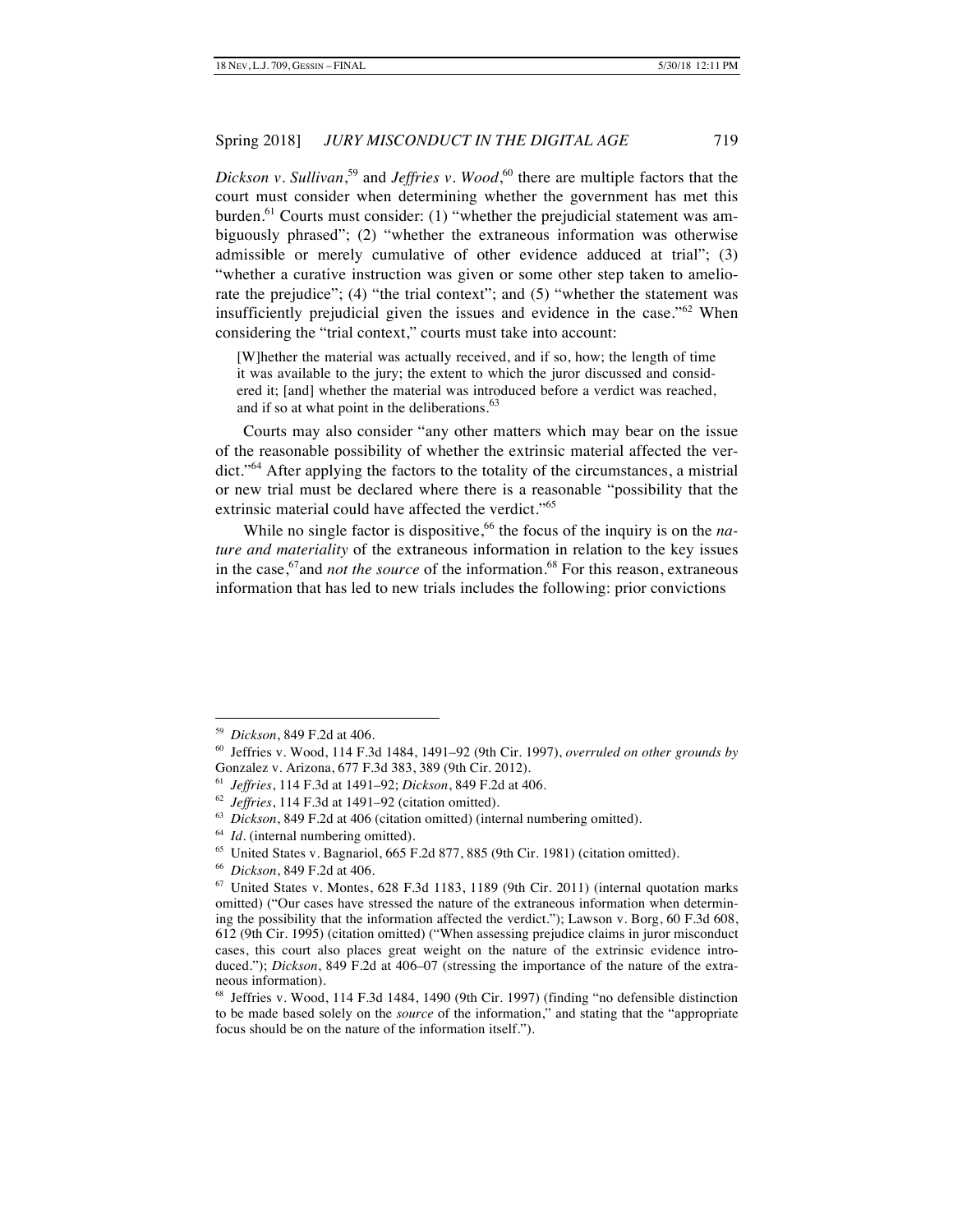Dickson v. Sullivan,<sup>59</sup> and *Jeffries v. Wood*,<sup>60</sup> there are multiple factors that the court must consider when determining whether the government has met this burden. $61$  Courts must consider: (1) "whether the prejudicial statement was ambiguously phrased"; (2) "whether the extraneous information was otherwise admissible or merely cumulative of other evidence adduced at trial"; (3) "whether a curative instruction was given or some other step taken to ameliorate the prejudice"; (4) "the trial context"; and (5) "whether the statement was insufficiently prejudicial given the issues and evidence in the case."<sup>62</sup> When considering the "trial context," courts must take into account:

[W]hether the material was actually received, and if so, how; the length of time it was available to the jury; the extent to which the juror discussed and considered it; [and] whether the material was introduced before a verdict was reached, and if so at what point in the deliberations.<sup>63</sup>

Courts may also consider "any other matters which may bear on the issue of the reasonable possibility of whether the extrinsic material affected the verdict."<sup>64</sup> After applying the factors to the totality of the circumstances, a mistrial or new trial must be declared where there is a reasonable "possibility that the extrinsic material could have affected the verdict."<sup>65</sup>

While no single factor is dispositive,<sup>66</sup> the focus of the inquiry is on the *nature and materiality* of the extraneous information in relation to the key issues in the case,<sup>67</sup> and *not the source* of the information.<sup>68</sup> For this reason, extraneous information that has led to new trials includes the following: prior convictions

 <sup>59</sup> *Dickson*, 849 F.2d at 406.

<sup>60</sup> Jeffries v. Wood, 114 F.3d 1484, 1491–92 (9th Cir. 1997), *overruled on other grounds by* Gonzalez v. Arizona, 677 F.3d 383, 389 (9th Cir. 2012).

<sup>61</sup> *Jeffries*, 114 F.3d at 1491–92; *Dickson*, 849 F.2d at 406.

<sup>62</sup> *Jeffries*, 114 F.3d at 1491–92 (citation omitted).

<sup>63</sup> *Dickson*, 849 F.2d at 406 (citation omitted) (internal numbering omitted).

<sup>&</sup>lt;sup>64</sup> *Id.* (internal numbering omitted).

<sup>65</sup> United States v. Bagnariol, 665 F.2d 877, 885 (9th Cir. 1981) (citation omitted).

<sup>66</sup> *Dickson*, 849 F.2d at 406.

 $67$  United States v. Montes,  $628$  F.3d 1183, 1189 (9th Cir. 2011) (internal quotation marks omitted) ("Our cases have stressed the nature of the extraneous information when determining the possibility that the information affected the verdict."); Lawson v. Borg, 60 F.3d 608, 612 (9th Cir. 1995) (citation omitted) ("When assessing prejudice claims in juror misconduct cases, this court also places great weight on the nature of the extrinsic evidence introduced."); *Dickson*, 849 F.2d at 406-07 (stressing the importance of the nature of the extraneous information).

 $68$  Jeffries v. Wood, 114 F.3d 1484, 1490 (9th Cir. 1997) (finding "no defensible distinction to be made based solely on the *source* of the information," and stating that the "appropriate focus should be on the nature of the information itself.").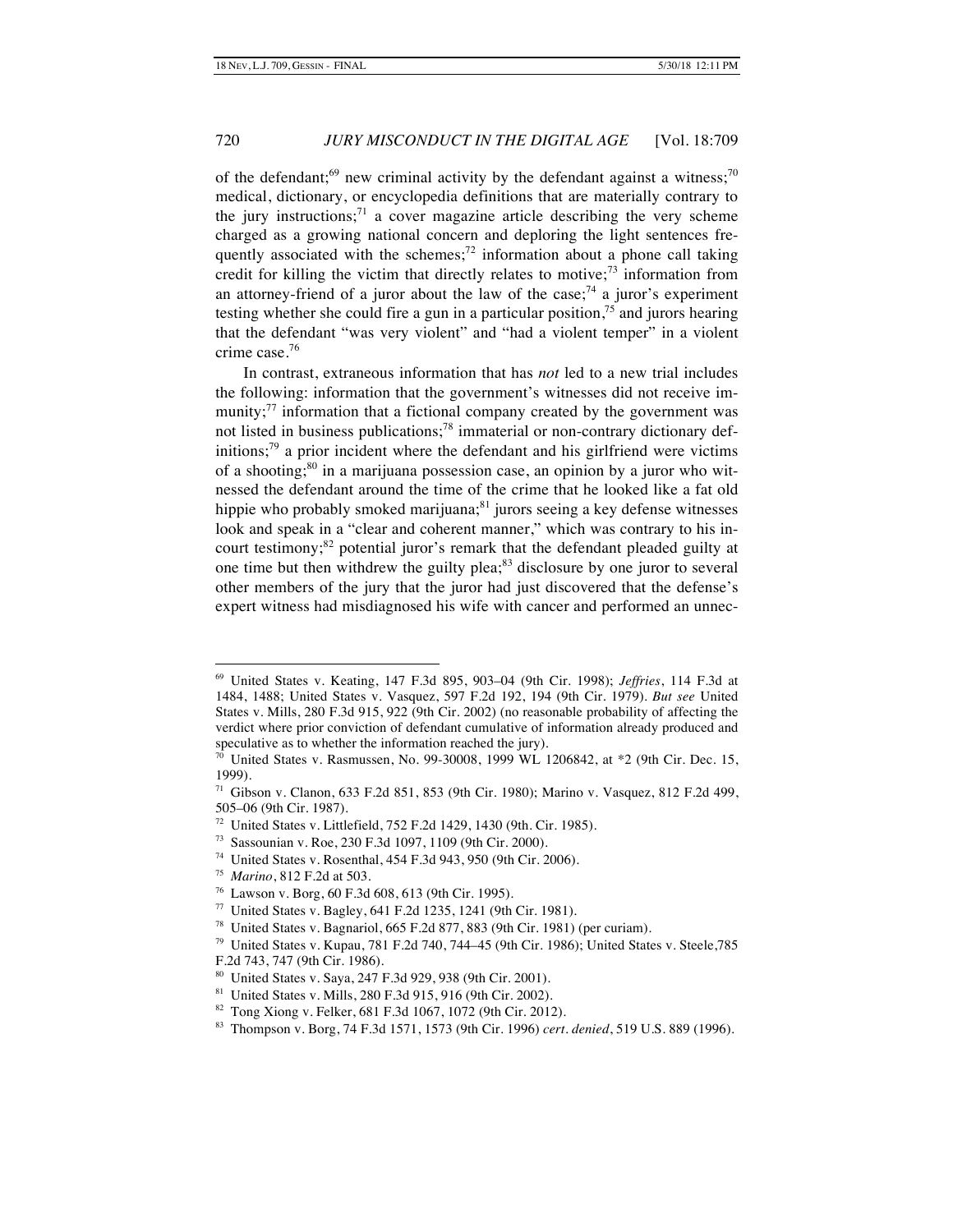of the defendant;<sup>69</sup> new criminal activity by the defendant against a witness:<sup>70</sup> medical, dictionary, or encyclopedia definitions that are materially contrary to the jury instructions;<sup>71</sup> a cover magazine article describing the very scheme charged as a growing national concern and deploring the light sentences frequently associated with the schemes;<sup>72</sup> information about a phone call taking credit for killing the victim that directly relates to motive;<sup>73</sup> information from an attorney-friend of a juror about the law of the case;<sup>74</sup> a juror's experiment testing whether she could fire a gun in a particular position,<sup>75</sup> and jurors hearing that the defendant "was very violent" and "had a violent temper" in a violent crime case.<sup>76</sup>

In contrast, extraneous information that has *not* led to a new trial includes the following: information that the government's witnesses did not receive immunity; $\frac{77}{10}$  information that a fictional company created by the government was not listed in business publications;<sup>78</sup> immaterial or non-contrary dictionary definitions;<sup>79</sup> a prior incident where the defendant and his girlfriend were victims of a shooting; $80$  in a marijuana possession case, an opinion by a juror who witnessed the defendant around the time of the crime that he looked like a fat old hippie who probably smoked marijuana;<sup>81</sup> jurors seeing a key defense witnesses look and speak in a "clear and coherent manner," which was contrary to his incourt testimony; $82$  potential juror's remark that the defendant pleaded guilty at one time but then withdrew the guilty plea; $83$  disclosure by one juror to several other members of the jury that the juror had just discovered that the defense's expert witness had misdiagnosed his wife with cancer and performed an unnec-

- 73 Sassounian v. Roe, 230 F.3d 1097, 1109 (9th Cir. 2000).
- 74 United States v. Rosenthal, 454 F.3d 943, 950 (9th Cir. 2006).
- 75 *Marino*, 812 F.2d at 503.

 <sup>69</sup> United States v. Keating, 147 F.3d 895, 903–04 (9th Cir. 1998); *Jeffries*, 114 F.3d at 1484, 1488; United States v. Vasquez, 597 F.2d 192, 194 (9th Cir. 1979). *But see* United States v. Mills, 280 F.3d 915, 922 (9th Cir. 2002) (no reasonable probability of affecting the verdict where prior conviction of defendant cumulative of information already produced and speculative as to whether the information reached the jury).

United States v. Rasmussen, No. 99-30008, 1999 WL 1206842, at \*2 (9th Cir. Dec. 15, 1999).

 $71$  Gibson v. Clanon, 633 F.2d 851, 853 (9th Cir. 1980); Marino v. Vasquez, 812 F.2d 499, 505–06 (9th Cir. 1987).

<sup>72</sup> United States v. Littlefield, 752 F.2d 1429, 1430 (9th. Cir. 1985).

<sup>76</sup> Lawson v. Borg, 60 F.3d 608, 613 (9th Cir. 1995).

<sup>77</sup> United States v. Bagley, 641 F.2d 1235, 1241 (9th Cir. 1981).

<sup>78</sup> United States v. Bagnariol, 665 F.2d 877, 883 (9th Cir. 1981) (per curiam).

 $79$  United States v. Kupau, 781 F.2d 740, 744–45 (9th Cir. 1986); United States v. Steele, 785 F.2d 743, 747 (9th Cir. 1986).

<sup>80</sup> United States v. Saya, 247 F.3d 929, 938 (9th Cir. 2001).

<sup>81</sup> United States v. Mills, 280 F.3d 915, 916 (9th Cir. 2002).

<sup>82</sup> Tong Xiong v. Felker, 681 F.3d 1067, 1072 (9th Cir. 2012).

<sup>83</sup> Thompson v. Borg, 74 F.3d 1571, 1573 (9th Cir. 1996) *cert. denied*, 519 U.S. 889 (1996).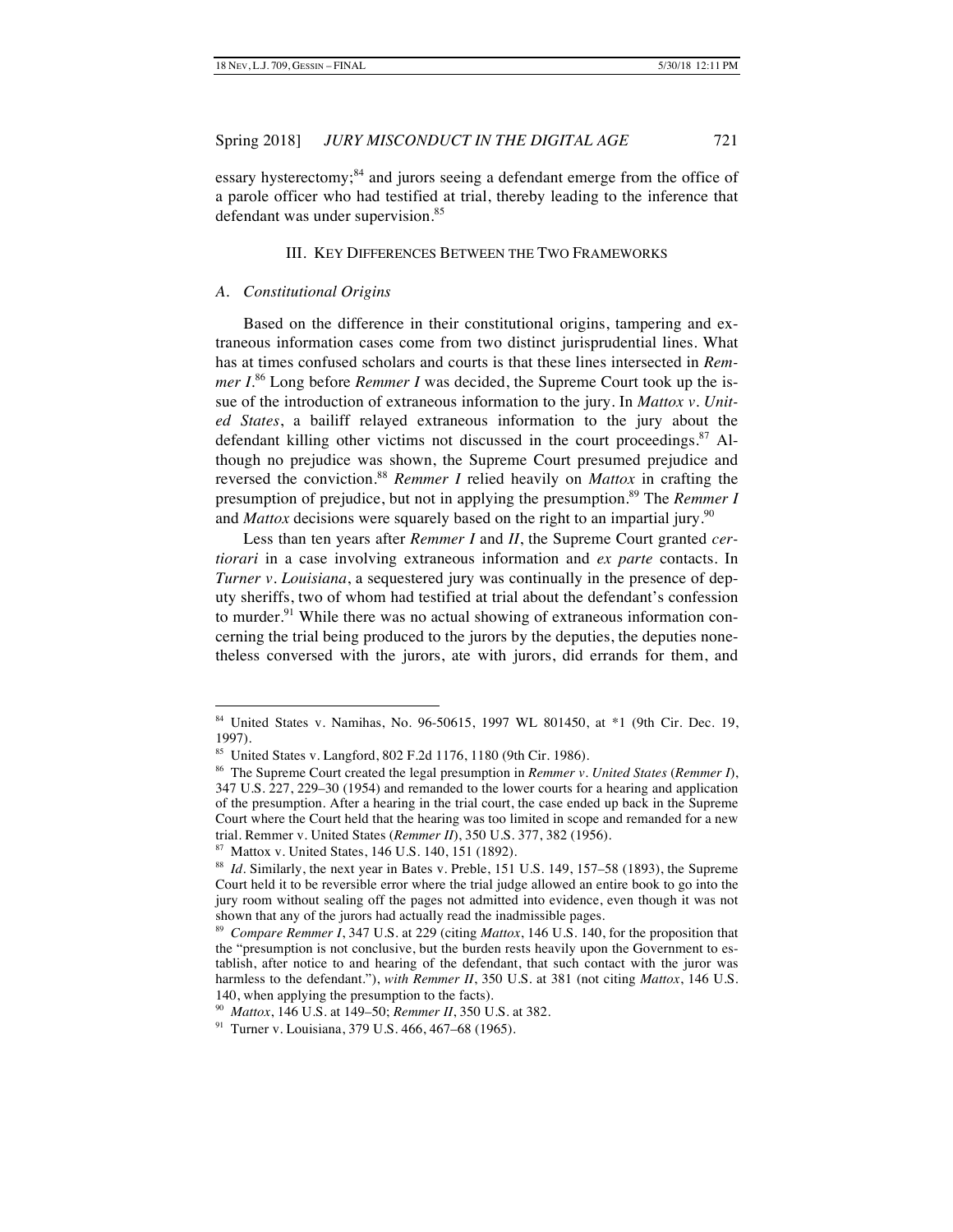essary hysterectomy;<sup>84</sup> and jurors seeing a defendant emerge from the office of a parole officer who had testified at trial, thereby leading to the inference that defendant was under supervision.<sup>85</sup>

#### III. KEY DIFFERENCES BETWEEN THE TWO FRAMEWORKS

#### *A. Constitutional Origins*

Based on the difference in their constitutional origins, tampering and extraneous information cases come from two distinct jurisprudential lines. What has at times confused scholars and courts is that these lines intersected in *Remmer I*.<sup>86</sup> Long before *Remmer I* was decided, the Supreme Court took up the issue of the introduction of extraneous information to the jury. In *Mattox v. United States*, a bailiff relayed extraneous information to the jury about the defendant killing other victims not discussed in the court proceedings. $87$  Although no prejudice was shown, the Supreme Court presumed prejudice and reversed the conviction.<sup>88</sup> *Remmer I* relied heavily on *Mattox* in crafting the presumption of prejudice, but not in applying the presumption.<sup>89</sup> The *Remmer I* and *Mattox* decisions were squarely based on the right to an impartial jury.<sup>90</sup>

Less than ten years after *Remmer I* and *II*, the Supreme Court granted *certiorari* in a case involving extraneous information and *ex parte* contacts. In *Turner v. Louisiana*, a sequestered jury was continually in the presence of deputy sheriffs, two of whom had testified at trial about the defendant's confession to murder.<sup>91</sup> While there was no actual showing of extraneous information concerning the trial being produced to the jurors by the deputies, the deputies nonetheless conversed with the jurors, ate with jurors, did errands for them, and

 <sup>84</sup> United States v. Namihas, No. 96-50615, 1997 WL 801450, at \*1 (9th Cir. Dec. 19, 1997).

 $85$  United States v. Langford, 802 F.2d 1176, 1180 (9th Cir. 1986).

<sup>86</sup> The Supreme Court created the legal presumption in *Remmer v. United States* (*Remmer I*), 347 U.S. 227, 229–30 (1954) and remanded to the lower courts for a hearing and application of the presumption. After a hearing in the trial court, the case ended up back in the Supreme Court where the Court held that the hearing was too limited in scope and remanded for a new trial. Remmer v. United States (*Remmer II*), 350 U.S. 377, 382 (1956).

<sup>87</sup> Mattox v. United States, 146 U.S. 140, 151 (1892).

<sup>&</sup>lt;sup>88</sup> *Id.* Similarly, the next year in Bates v. Preble, 151 U.S. 149, 157-58 (1893), the Supreme Court held it to be reversible error where the trial judge allowed an entire book to go into the jury room without sealing off the pages not admitted into evidence, even though it was not shown that any of the jurors had actually read the inadmissible pages.

<sup>89</sup> *Compare Remmer I*, 347 U.S. at 229 (citing *Mattox*, 146 U.S. 140, for the proposition that the "presumption is not conclusive, but the burden rests heavily upon the Government to establish, after notice to and hearing of the defendant, that such contact with the juror was harmless to the defendant."), *with Remmer II*, 350 U.S. at 381 (not citing *Mattox*, 146 U.S. 140, when applying the presumption to the facts).

<sup>90</sup> *Mattox*, 146 U.S. at 149–50; *Remmer II*, 350 U.S. at 382.

<sup>91</sup> Turner v. Louisiana, 379 U.S. 466, 467–68 (1965).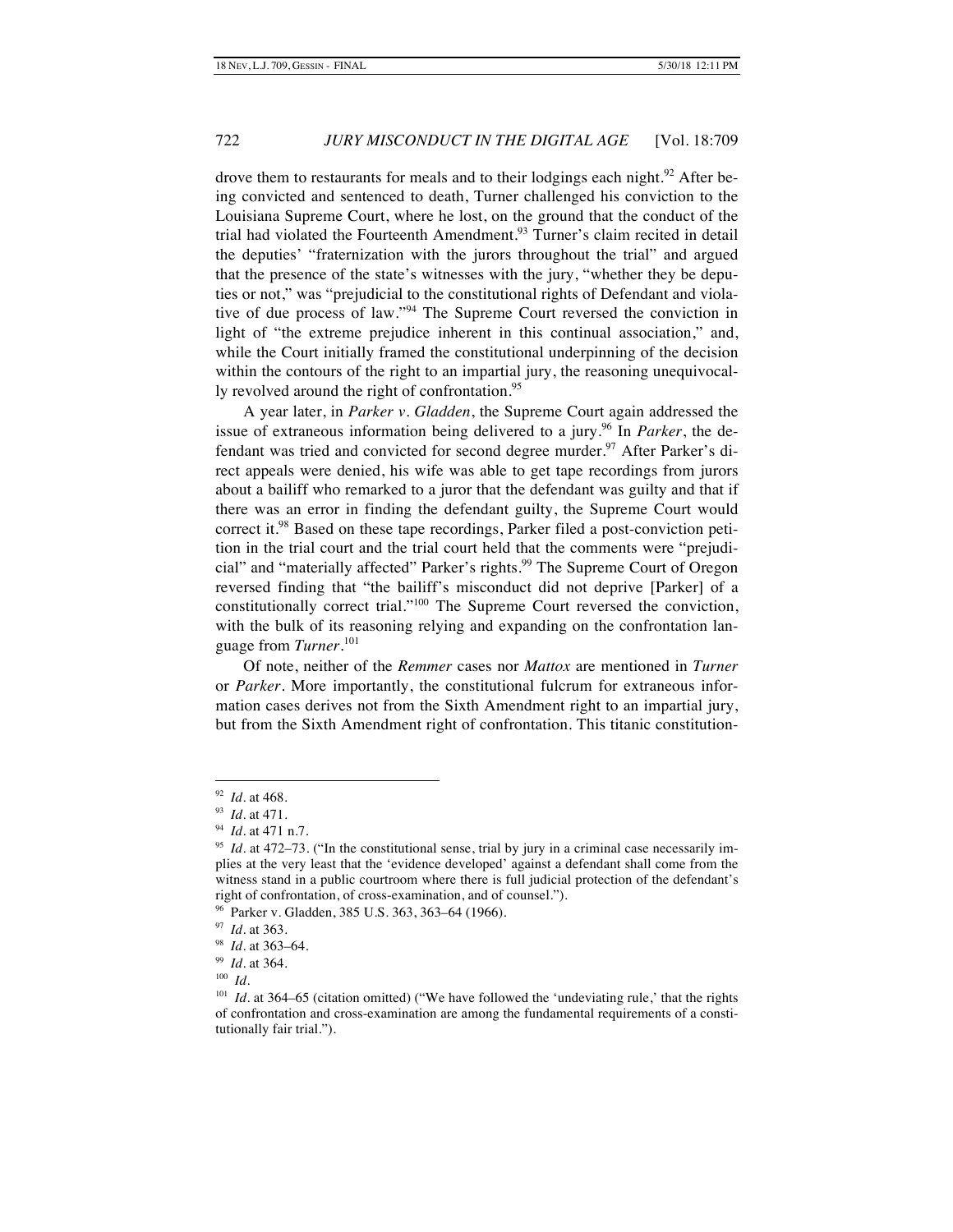drove them to restaurants for meals and to their lodgings each night.<sup>92</sup> After being convicted and sentenced to death, Turner challenged his conviction to the Louisiana Supreme Court, where he lost, on the ground that the conduct of the trial had violated the Fourteenth Amendment.<sup>93</sup> Turner's claim recited in detail the deputies' "fraternization with the jurors throughout the trial" and argued that the presence of the state's witnesses with the jury, "whether they be deputies or not," was "prejudicial to the constitutional rights of Defendant and violative of due process of law."<sup>94</sup> The Supreme Court reversed the conviction in light of "the extreme prejudice inherent in this continual association," and, while the Court initially framed the constitutional underpinning of the decision within the contours of the right to an impartial jury, the reasoning unequivocally revolved around the right of confrontation.<sup>95</sup>

A year later, in *Parker v. Gladden*, the Supreme Court again addressed the issue of extraneous information being delivered to a jury.<sup>96</sup> In *Parker*, the defendant was tried and convicted for second degree murder.<sup>97</sup> After Parker's direct appeals were denied, his wife was able to get tape recordings from jurors about a bailiff who remarked to a juror that the defendant was guilty and that if there was an error in finding the defendant guilty, the Supreme Court would correct it.<sup>98</sup> Based on these tape recordings, Parker filed a post-conviction petition in the trial court and the trial court held that the comments were "prejudicial" and "materially affected" Parker's rights.<sup>99</sup> The Supreme Court of Oregon reversed finding that "the bailiff's misconduct did not deprive [Parker] of a constitutionally correct trial."<sup>100</sup> The Supreme Court reversed the conviction, with the bulk of its reasoning relying and expanding on the confrontation language from *Turner*. 101

Of note, neither of the *Remmer* cases nor *Mattox* are mentioned in *Turner* or *Parker*. More importantly, the constitutional fulcrum for extraneous information cases derives not from the Sixth Amendment right to an impartial jury, but from the Sixth Amendment right of confrontation. This titanic constitution-

 <sup>92</sup> *Id.* at 468.

<sup>93</sup> *Id.* at 471.

<sup>94</sup> *Id.* at 471 n.7.

 $^{95}$  *Id.* at 472–73. ("In the constitutional sense, trial by jury in a criminal case necessarily implies at the very least that the 'evidence developed' against a defendant shall come from the witness stand in a public courtroom where there is full judicial protection of the defendant's right of confrontation, of cross-examination, and of counsel.").

<sup>96</sup> Parker v. Gladden, 385 U.S. 363, 363–64 (1966).

<sup>97</sup> *Id.* at 363.

<sup>98</sup> *Id.* at 363–64.

<sup>99</sup> *Id.* at 364.

<sup>100</sup> *Id.*

<sup>&</sup>lt;sup>101</sup> *Id.* at 364–65 (citation omitted) ("We have followed the 'undeviating rule,' that the rights of confrontation and cross-examination are among the fundamental requirements of a constitutionally fair trial.").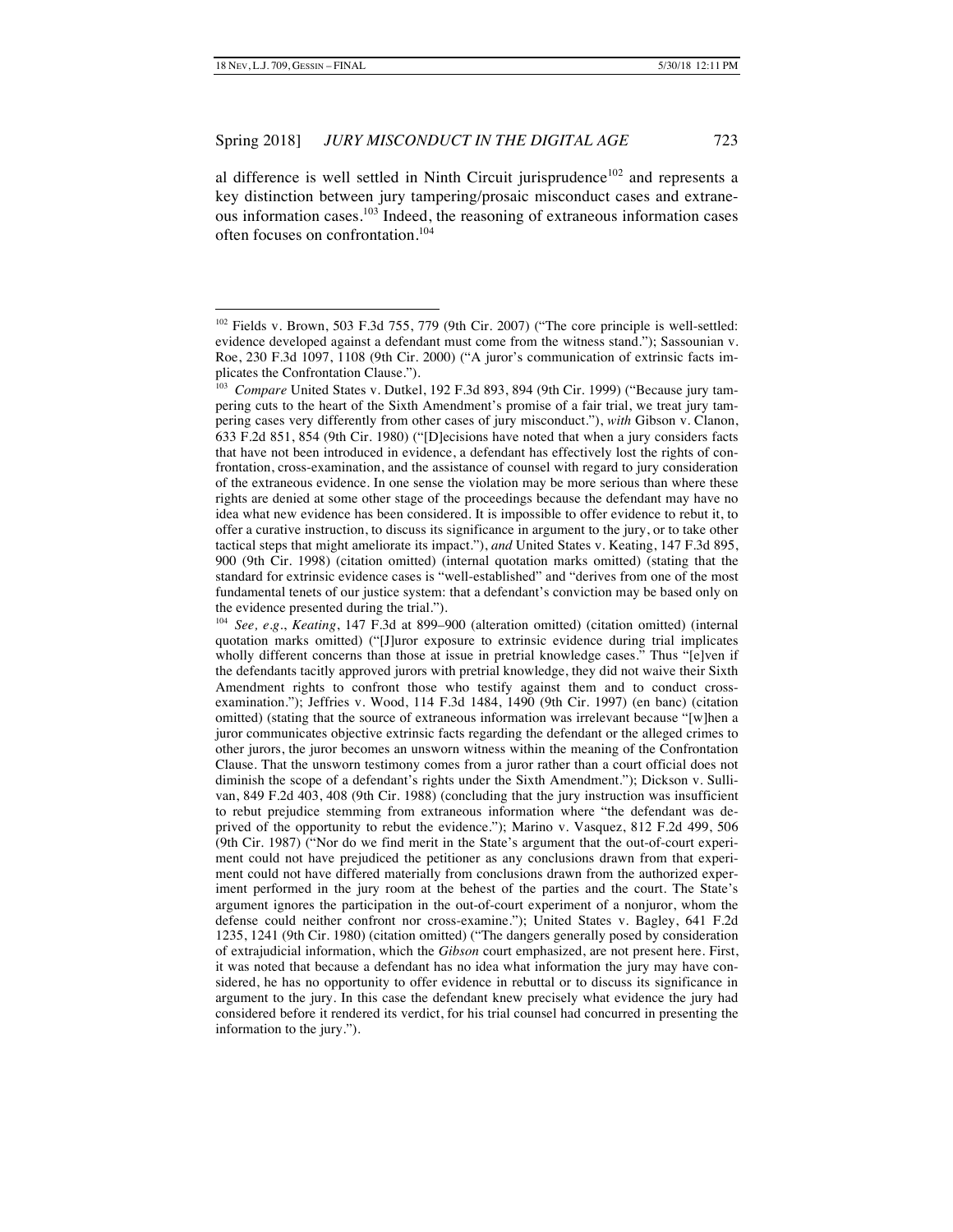al difference is well settled in Ninth Circuit jurisprudence<sup>102</sup> and represents a key distinction between jury tampering/prosaic misconduct cases and extraneous information cases.<sup>103</sup> Indeed, the reasoning of extraneous information cases often focuses on confrontation.104

 $102$  Fields v. Brown, 503 F.3d 755, 779 (9th Cir. 2007) ("The core principle is well-settled: evidence developed against a defendant must come from the witness stand."); Sassounian v. Roe, 230 F.3d 1097, 1108 (9th Cir. 2000) ("A juror's communication of extrinsic facts implicates the Confrontation Clause.").

<sup>&</sup>lt;sup>103</sup> Compare United States v. Dutkel, 192 F.3d 893, 894 (9th Cir. 1999) ("Because jury tampering cuts to the heart of the Sixth Amendment's promise of a fair trial, we treat jury tampering cases very differently from other cases of jury misconduct."), *with* Gibson v. Clanon, 633 F.2d 851, 854 (9th Cir. 1980) ("[D]ecisions have noted that when a jury considers facts that have not been introduced in evidence, a defendant has effectively lost the rights of confrontation, cross-examination, and the assistance of counsel with regard to jury consideration of the extraneous evidence. In one sense the violation may be more serious than where these rights are denied at some other stage of the proceedings because the defendant may have no idea what new evidence has been considered. It is impossible to offer evidence to rebut it, to offer a curative instruction, to discuss its significance in argument to the jury, or to take other tactical steps that might ameliorate its impact."), *and* United States v. Keating, 147 F.3d 895, 900 (9th Cir. 1998) (citation omitted) (internal quotation marks omitted) (stating that the standard for extrinsic evidence cases is "well-established" and "derives from one of the most fundamental tenets of our justice system: that a defendant's conviction may be based only on the evidence presented during the trial.").

<sup>104</sup> *See, e.g.*, *Keating*, 147 F.3d at 899–900 (alteration omitted) (citation omitted) (internal quotation marks omitted) ("[J]uror exposure to extrinsic evidence during trial implicates wholly different concerns than those at issue in pretrial knowledge cases." Thus "[e]ven if the defendants tacitly approved jurors with pretrial knowledge, they did not waive their Sixth Amendment rights to confront those who testify against them and to conduct crossexamination."); Jeffries v. Wood, 114 F.3d 1484, 1490 (9th Cir. 1997) (en banc) (citation omitted) (stating that the source of extraneous information was irrelevant because "[w]hen a juror communicates objective extrinsic facts regarding the defendant or the alleged crimes to other jurors, the juror becomes an unsworn witness within the meaning of the Confrontation Clause. That the unsworn testimony comes from a juror rather than a court official does not diminish the scope of a defendant's rights under the Sixth Amendment."); Dickson v. Sullivan, 849 F.2d 403, 408 (9th Cir. 1988) (concluding that the jury instruction was insufficient to rebut prejudice stemming from extraneous information where "the defendant was deprived of the opportunity to rebut the evidence."); Marino v. Vasquez, 812 F.2d 499, 506 (9th Cir. 1987) ("Nor do we find merit in the State's argument that the out-of-court experiment could not have prejudiced the petitioner as any conclusions drawn from that experiment could not have differed materially from conclusions drawn from the authorized experiment performed in the jury room at the behest of the parties and the court. The State's argument ignores the participation in the out-of-court experiment of a nonjuror, whom the defense could neither confront nor cross-examine."); United States v. Bagley, 641 F.2d 1235, 1241 (9th Cir. 1980) (citation omitted) ("The dangers generally posed by consideration of extrajudicial information, which the *Gibson* court emphasized, are not present here. First, it was noted that because a defendant has no idea what information the jury may have considered, he has no opportunity to offer evidence in rebuttal or to discuss its significance in argument to the jury. In this case the defendant knew precisely what evidence the jury had considered before it rendered its verdict, for his trial counsel had concurred in presenting the information to the jury.").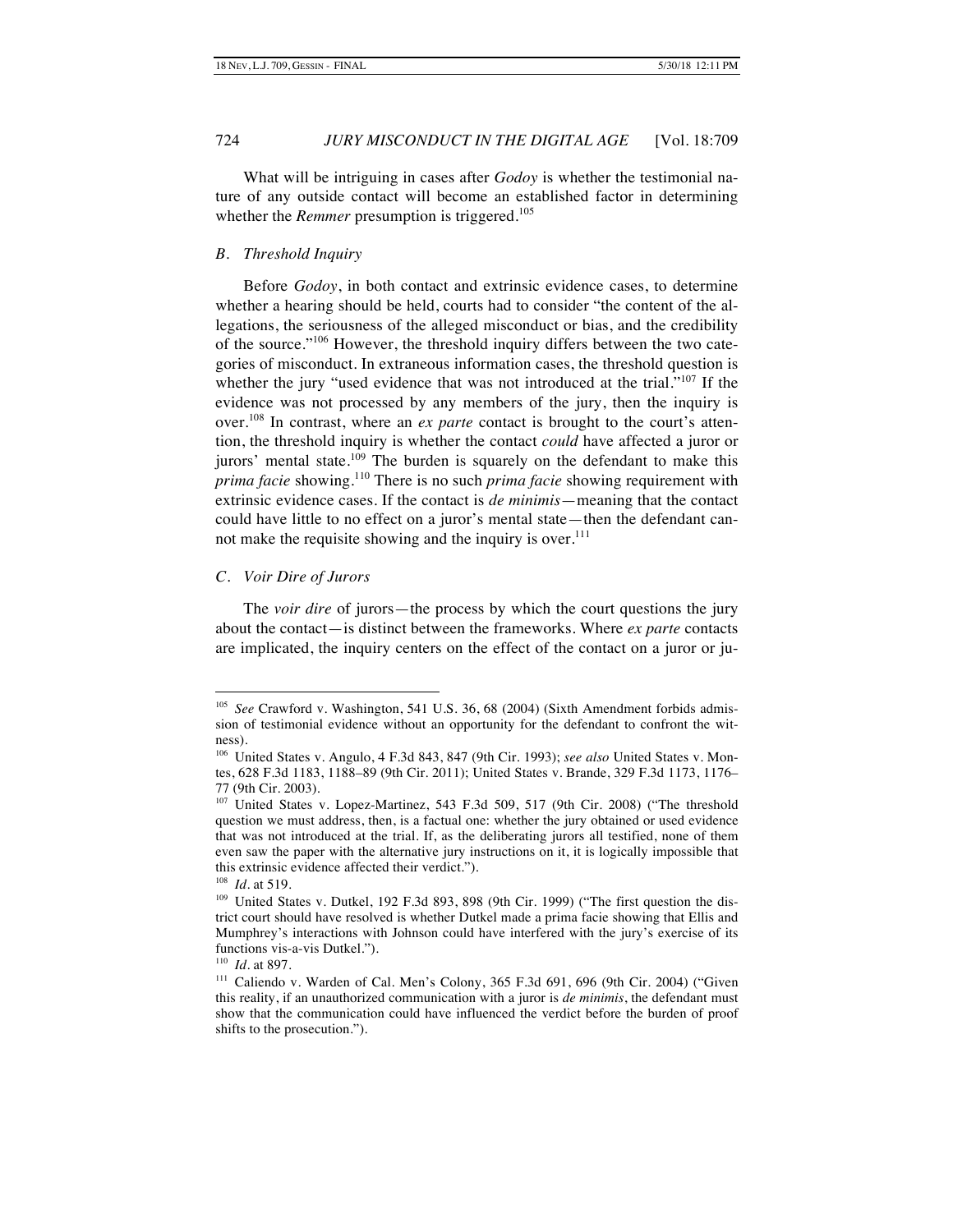What will be intriguing in cases after *Godoy* is whether the testimonial nature of any outside contact will become an established factor in determining whether the *Remmer* presumption is triggered.<sup>105</sup>

#### *B. Threshold Inquiry*

Before *Godoy*, in both contact and extrinsic evidence cases, to determine whether a hearing should be held, courts had to consider "the content of the allegations, the seriousness of the alleged misconduct or bias, and the credibility of the source."<sup>106</sup> However, the threshold inquiry differs between the two categories of misconduct. In extraneous information cases, the threshold question is whether the jury "used evidence that was not introduced at the trial."<sup>107</sup> If the evidence was not processed by any members of the jury, then the inquiry is over.<sup>108</sup> In contrast, where an *ex parte* contact is brought to the court's attention, the threshold inquiry is whether the contact *could* have affected a juror or jurors' mental state.<sup>109</sup> The burden is squarely on the defendant to make this *prima facie* showing.<sup>110</sup> There is no such *prima facie* showing requirement with extrinsic evidence cases. If the contact is *de minimis*—meaning that the contact could have little to no effect on a juror's mental state—then the defendant cannot make the requisite showing and the inquiry is over.<sup>111</sup>

#### *C. Voir Dire of Jurors*

The *voir dire* of jurors—the process by which the court questions the jury about the contact—is distinct between the frameworks. Where *ex parte* contacts are implicated, the inquiry centers on the effect of the contact on a juror or ju-

<sup>&</sup>lt;sup>105</sup> See Crawford v. Washington, 541 U.S. 36, 68 (2004) (Sixth Amendment forbids admission of testimonial evidence without an opportunity for the defendant to confront the witness).

<sup>106</sup> United States v. Angulo, 4 F.3d 843, 847 (9th Cir. 1993); *see also* United States v. Montes, 628 F.3d 1183, 1188–89 (9th Cir. 2011); United States v. Brande, 329 F.3d 1173, 1176– 77 (9th Cir. 2003).

<sup>&</sup>lt;sup>107</sup> United States v. Lopez-Martinez, 543 F.3d 509, 517 (9th Cir. 2008) ("The threshold question we must address, then, is a factual one: whether the jury obtained or used evidence that was not introduced at the trial. If, as the deliberating jurors all testified, none of them even saw the paper with the alternative jury instructions on it, it is logically impossible that this extrinsic evidence affected their verdict.").

<sup>108</sup> *Id.* at 519.

<sup>&</sup>lt;sup>109</sup> United States v. Dutkel, 192 F.3d 893, 898 (9th Cir. 1999) ("The first question the district court should have resolved is whether Dutkel made a prima facie showing that Ellis and Mumphrey's interactions with Johnson could have interfered with the jury's exercise of its functions vis-a-vis Dutkel.").

<sup>110</sup> *Id.* at 897.

<sup>&</sup>lt;sup>111</sup> Caliendo v. Warden of Cal. Men's Colony, 365 F.3d 691, 696 (9th Cir. 2004) ("Given this reality, if an unauthorized communication with a juror is *de minimis*, the defendant must show that the communication could have influenced the verdict before the burden of proof shifts to the prosecution.").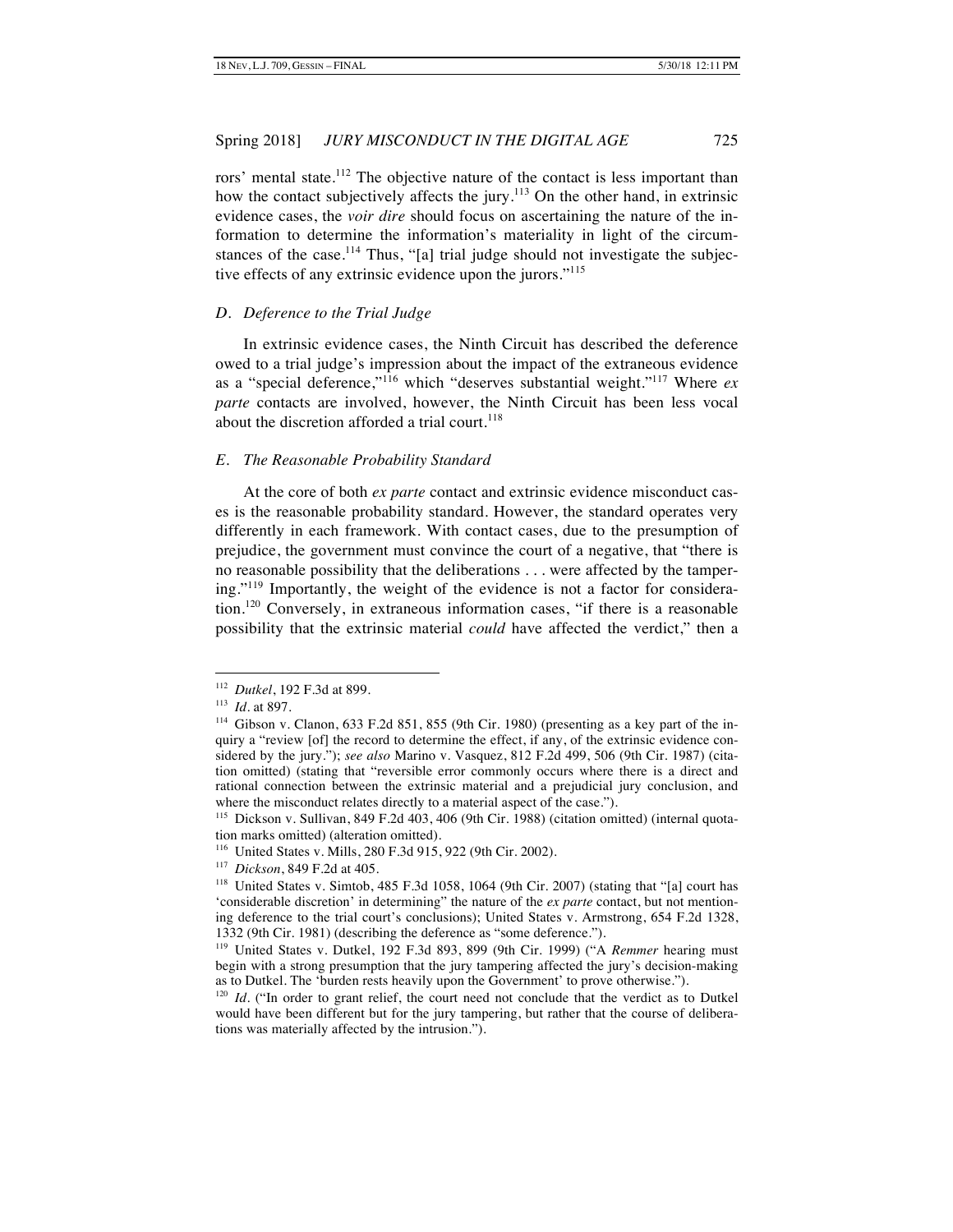rors' mental state.<sup>112</sup> The objective nature of the contact is less important than how the contact subjectively affects the jury.<sup>113</sup> On the other hand, in extrinsic evidence cases, the *voir dire* should focus on ascertaining the nature of the information to determine the information's materiality in light of the circumstances of the case.<sup>114</sup> Thus, "[a] trial judge should not investigate the subjective effects of any extrinsic evidence upon the jurors."<sup>115</sup>

#### *D. Deference to the Trial Judge*

In extrinsic evidence cases, the Ninth Circuit has described the deference owed to a trial judge's impression about the impact of the extraneous evidence as a "special deference,"<sup>116</sup> which "deserves substantial weight."117 Where *ex parte* contacts are involved, however, the Ninth Circuit has been less vocal about the discretion afforded a trial court.<sup>118</sup>

# *E. The Reasonable Probability Standard*

At the core of both *ex parte* contact and extrinsic evidence misconduct cases is the reasonable probability standard. However, the standard operates very differently in each framework. With contact cases, due to the presumption of prejudice, the government must convince the court of a negative, that "there is no reasonable possibility that the deliberations . . . were affected by the tampering."<sup>119</sup> Importantly, the weight of the evidence is not a factor for consideration.<sup>120</sup> Conversely, in extraneous information cases, "if there is a reasonable possibility that the extrinsic material *could* have affected the verdict," then a

 <sup>112</sup> *Dutkel*, 192 F.3d at 899.

<sup>113</sup> *Id.* at 897.

<sup>114</sup> Gibson v. Clanon, 633 F.2d 851, 855 (9th Cir. 1980) (presenting as a key part of the inquiry a "review [of] the record to determine the effect, if any, of the extrinsic evidence considered by the jury."); *see also* Marino v. Vasquez, 812 F.2d 499, 506 (9th Cir. 1987) (citation omitted) (stating that "reversible error commonly occurs where there is a direct and rational connection between the extrinsic material and a prejudicial jury conclusion, and where the misconduct relates directly to a material aspect of the case.").

<sup>115</sup> Dickson v. Sullivan, 849 F.2d 403, 406 (9th Cir. 1988) (citation omitted) (internal quotation marks omitted) (alteration omitted).

<sup>116</sup> United States v. Mills, 280 F.3d 915, 922 (9th Cir. 2002).

<sup>117</sup> *Dickson*, 849 F.2d at 405.

<sup>&</sup>lt;sup>118</sup> United States v. Simtob, 485 F.3d 1058, 1064 (9th Cir. 2007) (stating that "[a] court has 'considerable discretion' in determining" the nature of the *ex parte* contact, but not mentioning deference to the trial court's conclusions); United States v. Armstrong, 654 F.2d 1328, 1332 (9th Cir. 1981) (describing the deference as "some deference.").

<sup>119</sup> United States v. Dutkel, 192 F.3d 893, 899 (9th Cir. 1999) ("A *Remmer* hearing must begin with a strong presumption that the jury tampering affected the jury's decision-making as to Dutkel. The 'burden rests heavily upon the Government' to prove otherwise.").

 $120$  *Id.* ("In order to grant relief, the court need not conclude that the verdict as to Dutkel would have been different but for the jury tampering, but rather that the course of deliberations was materially affected by the intrusion.").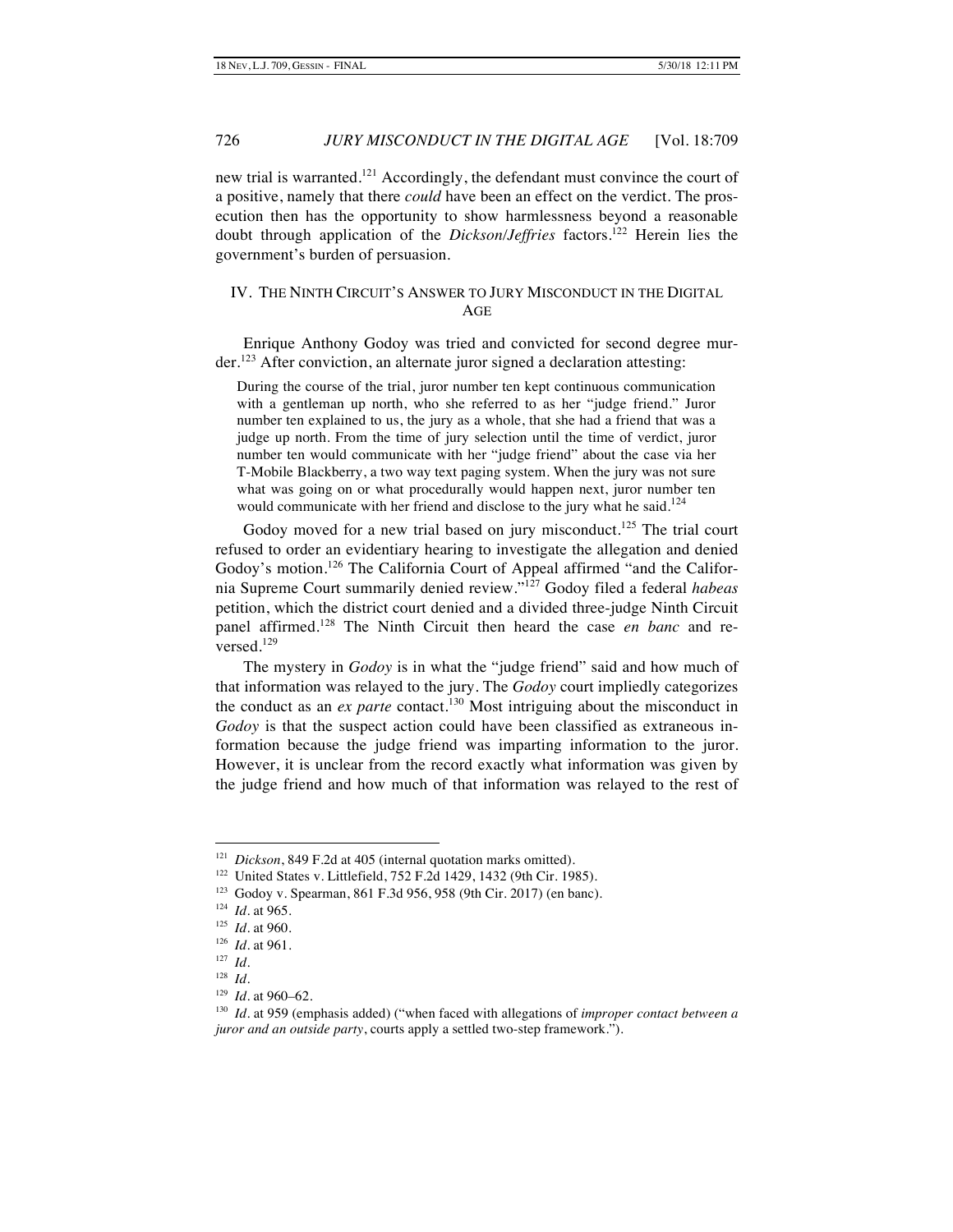new trial is warranted.<sup>121</sup> Accordingly, the defendant must convince the court of a positive, namely that there *could* have been an effect on the verdict. The prosecution then has the opportunity to show harmlessness beyond a reasonable doubt through application of the *Dickson/Jeffries* factors.122 Herein lies the government's burden of persuasion.

# IV. THE NINTH CIRCUIT'S ANSWER TO JURY MISCONDUCT IN THE DIGITAL AGE

Enrique Anthony Godoy was tried and convicted for second degree mur $der<sup>123</sup>$  After conviction, an alternate juror signed a declaration attesting:

During the course of the trial, juror number ten kept continuous communication with a gentleman up north, who she referred to as her "judge friend." Juror number ten explained to us, the jury as a whole, that she had a friend that was a judge up north. From the time of jury selection until the time of verdict, juror number ten would communicate with her "judge friend" about the case via her T-Mobile Blackberry, a two way text paging system. When the jury was not sure what was going on or what procedurally would happen next, juror number ten would communicate with her friend and disclose to the jury what he said.<sup>124</sup>

Godoy moved for a new trial based on jury misconduct.<sup>125</sup> The trial court refused to order an evidentiary hearing to investigate the allegation and denied Godoy's motion.<sup>126</sup> The California Court of Appeal affirmed "and the California Supreme Court summarily denied review."<sup>127</sup> Godoy filed a federal *habeas* petition, which the district court denied and a divided three-judge Ninth Circuit panel affirmed.<sup>128</sup> The Ninth Circuit then heard the case *en banc* and reversed. $129$ 

The mystery in *Godoy* is in what the "judge friend" said and how much of that information was relayed to the jury. The *Godoy* court impliedly categorizes the conduct as an  $ex$  parte contact.<sup>130</sup> Most intriguing about the misconduct in *Godoy* is that the suspect action could have been classified as extraneous information because the judge friend was imparting information to the juror. However, it is unclear from the record exactly what information was given by the judge friend and how much of that information was relayed to the rest of

 <sup>121</sup> *Dickson*, 849 F.2d at 405 (internal quotation marks omitted).

<sup>122</sup> United States v. Littlefield, 752 F.2d 1429, 1432 (9th Cir. 1985).

<sup>123</sup> Godoy v. Spearman, 861 F.3d 956, 958 (9th Cir. 2017) (en banc).

<sup>124</sup> *Id.* at 965.

<sup>125</sup> *Id.* at 960.

<sup>126</sup> *Id.* at 961.

<sup>127</sup> *Id.*

<sup>128</sup> *Id.*

<sup>129</sup> *Id.* at 960–62.

<sup>130</sup> *Id.* at 959 (emphasis added) ("when faced with allegations of *improper contact between a juror and an outside party*, courts apply a settled two-step framework.").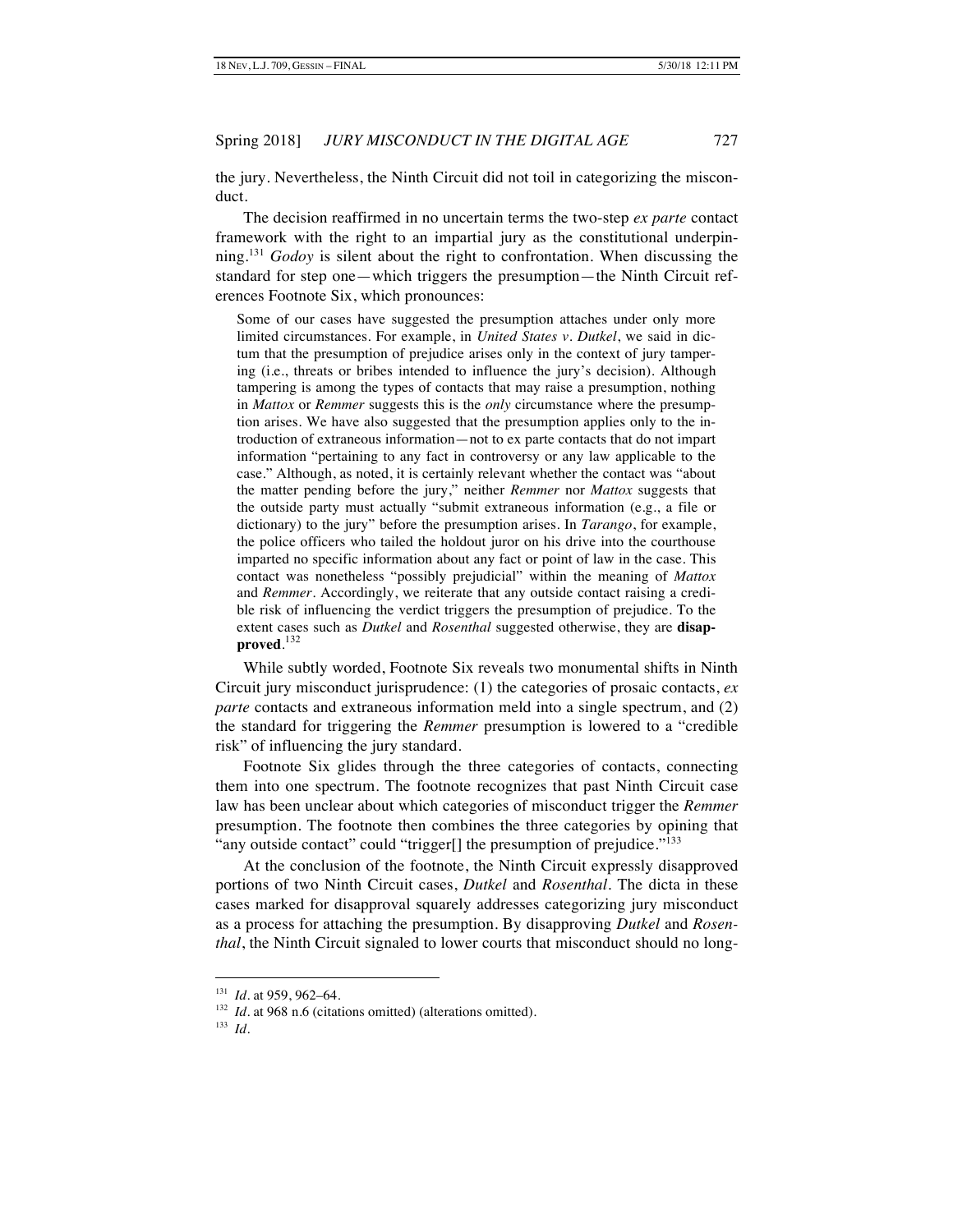the jury. Nevertheless, the Ninth Circuit did not toil in categorizing the misconduct.

The decision reaffirmed in no uncertain terms the two-step *ex parte* contact framework with the right to an impartial jury as the constitutional underpinning.<sup>131</sup> *Godoy* is silent about the right to confrontation. When discussing the standard for step one—which triggers the presumption—the Ninth Circuit references Footnote Six, which pronounces:

Some of our cases have suggested the presumption attaches under only more limited circumstances. For example, in *United States v. Dutkel*, we said in dictum that the presumption of prejudice arises only in the context of jury tampering (i.e., threats or bribes intended to influence the jury's decision). Although tampering is among the types of contacts that may raise a presumption, nothing in *Mattox* or *Remmer* suggests this is the *only* circumstance where the presumption arises. We have also suggested that the presumption applies only to the introduction of extraneous information—not to ex parte contacts that do not impart information "pertaining to any fact in controversy or any law applicable to the case." Although, as noted, it is certainly relevant whether the contact was "about the matter pending before the jury," neither *Remmer* nor *Mattox* suggests that the outside party must actually "submit extraneous information (e.g., a file or dictionary) to the jury" before the presumption arises. In *Tarango*, for example, the police officers who tailed the holdout juror on his drive into the courthouse imparted no specific information about any fact or point of law in the case. This contact was nonetheless "possibly prejudicial" within the meaning of *Mattox* and *Remmer*. Accordingly, we reiterate that any outside contact raising a credible risk of influencing the verdict triggers the presumption of prejudice. To the extent cases such as *Dutkel* and *Rosenthal* suggested otherwise, they are **disapproved**. 132

While subtly worded, Footnote Six reveals two monumental shifts in Ninth Circuit jury misconduct jurisprudence: (1) the categories of prosaic contacts, *ex parte* contacts and extraneous information meld into a single spectrum, and (2) the standard for triggering the *Remmer* presumption is lowered to a "credible risk" of influencing the jury standard.

Footnote Six glides through the three categories of contacts, connecting them into one spectrum. The footnote recognizes that past Ninth Circuit case law has been unclear about which categories of misconduct trigger the *Remmer*  presumption. The footnote then combines the three categories by opining that "any outside contact" could "trigger[] the presumption of prejudice."<sup>133</sup>

At the conclusion of the footnote, the Ninth Circuit expressly disapproved portions of two Ninth Circuit cases, *Dutkel* and *Rosenthal*. The dicta in these cases marked for disapproval squarely addresses categorizing jury misconduct as a process for attaching the presumption. By disapproving *Dutkel* and *Rosenthal*, the Ninth Circuit signaled to lower courts that misconduct should no long-

 <sup>131</sup> *Id.* at 959, 962–64.

<sup>&</sup>lt;sup>132</sup> *Id.* at 968 n.6 (citations omitted) (alterations omitted).

<sup>133</sup> *Id.*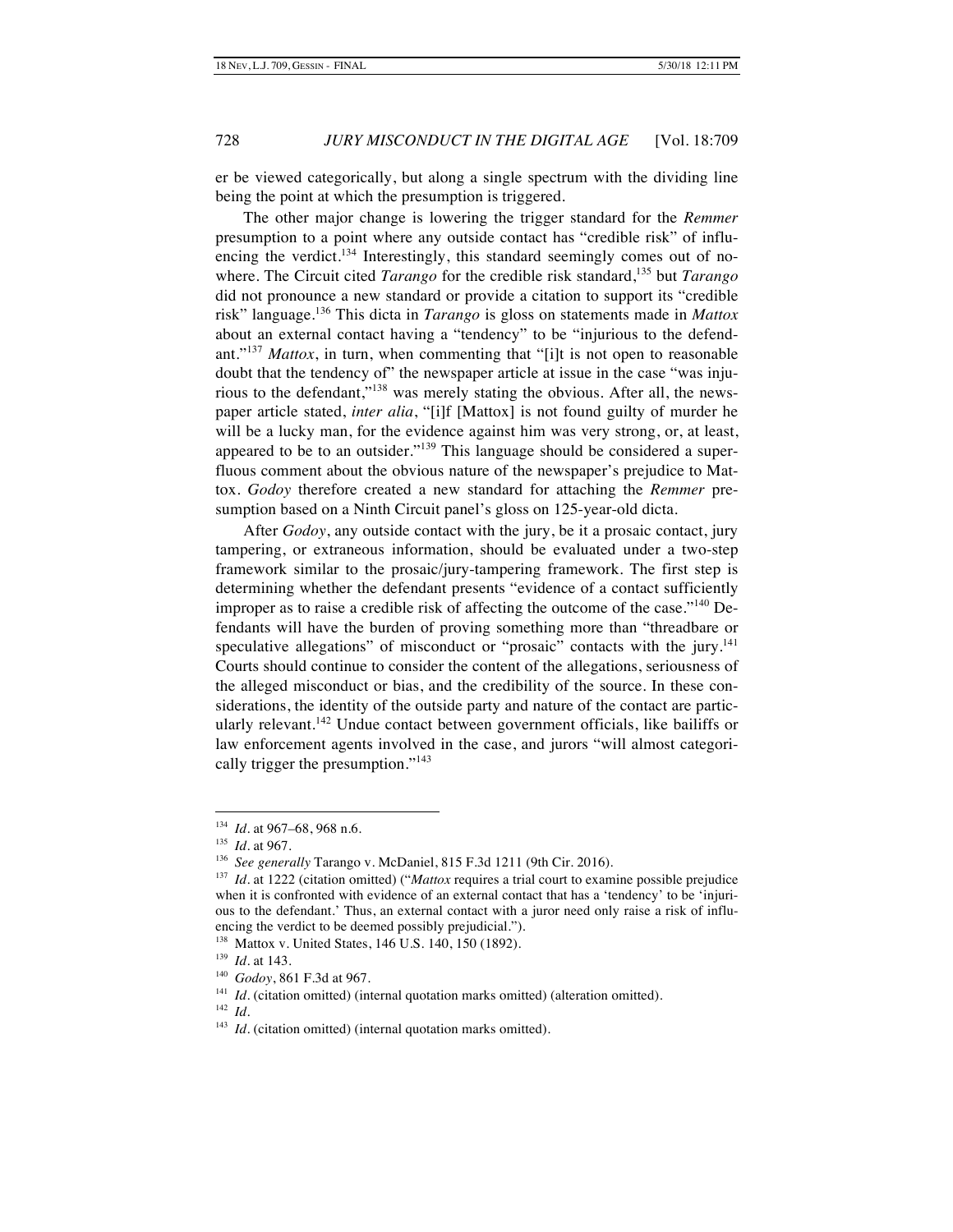er be viewed categorically, but along a single spectrum with the dividing line being the point at which the presumption is triggered.

The other major change is lowering the trigger standard for the *Remmer* presumption to a point where any outside contact has "credible risk" of influencing the verdict.<sup>134</sup> Interestingly, this standard seemingly comes out of nowhere. The Circuit cited *Tarango* for the credible risk standard,135 but *Tarango* did not pronounce a new standard or provide a citation to support its "credible risk" language.<sup>136</sup> This dicta in *Tarango* is gloss on statements made in *Mattox*  about an external contact having a "tendency" to be "injurious to the defendant."<sup>137</sup> *Mattox*, in turn, when commenting that "[i]t is not open to reasonable doubt that the tendency of" the newspaper article at issue in the case "was injurious to the defendant,"<sup>138</sup> was merely stating the obvious. After all, the newspaper article stated, *inter alia*, "[i]f [Mattox] is not found guilty of murder he will be a lucky man, for the evidence against him was very strong, or, at least, appeared to be to an outsider."<sup>139</sup> This language should be considered a superfluous comment about the obvious nature of the newspaper's prejudice to Mattox. *Godoy* therefore created a new standard for attaching the *Remmer* presumption based on a Ninth Circuit panel's gloss on 125-year-old dicta.

After *Godoy*, any outside contact with the jury, be it a prosaic contact, jury tampering, or extraneous information, should be evaluated under a two-step framework similar to the prosaic/jury-tampering framework. The first step is determining whether the defendant presents "evidence of a contact sufficiently improper as to raise a credible risk of affecting the outcome of the case."<sup>140</sup> Defendants will have the burden of proving something more than "threadbare or speculative allegations" of misconduct or "prosaic" contacts with the jury. $141$ Courts should continue to consider the content of the allegations, seriousness of the alleged misconduct or bias, and the credibility of the source. In these considerations, the identity of the outside party and nature of the contact are particularly relevant.<sup>142</sup> Undue contact between government officials, like bailiffs or law enforcement agents involved in the case, and jurors "will almost categorically trigger the presumption."<sup>143</sup>

 <sup>134</sup> *Id.* at 967–68, 968 n.6.

<sup>135</sup> *Id.* at 967.

<sup>136</sup> *See generally* Tarango v. McDaniel, 815 F.3d 1211 (9th Cir. 2016).

<sup>&</sup>lt;sup>137</sup> *Id.* at 1222 (citation omitted) ("*Mattox* requires a trial court to examine possible prejudice when it is confronted with evidence of an external contact that has a 'tendency' to be 'injurious to the defendant.' Thus, an external contact with a juror need only raise a risk of influencing the verdict to be deemed possibly prejudicial.").

<sup>138</sup> Mattox v. United States, 146 U.S. 140, 150 (1892).

<sup>139</sup> *Id.* at 143.

<sup>140</sup> *Godoy*, 861 F.3d at 967.

<sup>&</sup>lt;sup>141</sup> *Id.* (citation omitted) (internal quotation marks omitted) (alteration omitted).

<sup>142</sup> *Id.*

<sup>&</sup>lt;sup>143</sup> *Id.* (citation omitted) (internal quotation marks omitted).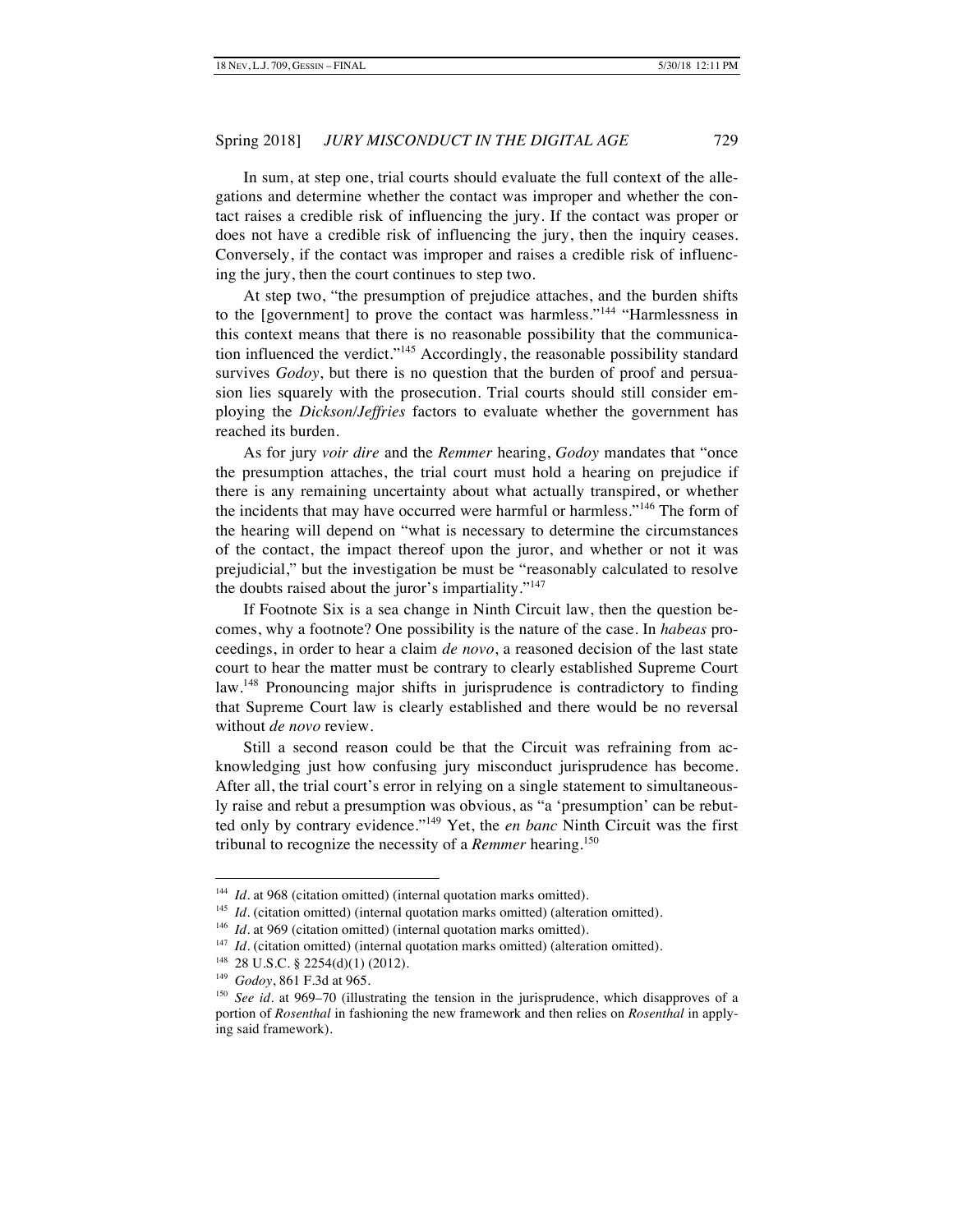In sum, at step one, trial courts should evaluate the full context of the allegations and determine whether the contact was improper and whether the contact raises a credible risk of influencing the jury. If the contact was proper or does not have a credible risk of influencing the jury, then the inquiry ceases. Conversely, if the contact was improper and raises a credible risk of influencing the jury, then the court continues to step two.

At step two, "the presumption of prejudice attaches, and the burden shifts to the [government] to prove the contact was harmless."<sup>144</sup> "Harmlessness in this context means that there is no reasonable possibility that the communication influenced the verdict."<sup>145</sup> Accordingly, the reasonable possibility standard survives *Godoy*, but there is no question that the burden of proof and persuasion lies squarely with the prosecution. Trial courts should still consider employing the *Dickson/Jeffries* factors to evaluate whether the government has reached its burden.

As for jury *voir dire* and the *Remmer* hearing, *Godoy* mandates that "once the presumption attaches, the trial court must hold a hearing on prejudice if there is any remaining uncertainty about what actually transpired, or whether the incidents that may have occurred were harmful or harmless."<sup>146</sup> The form of the hearing will depend on "what is necessary to determine the circumstances of the contact, the impact thereof upon the juror, and whether or not it was prejudicial," but the investigation be must be "reasonably calculated to resolve the doubts raised about the juror's impartiality."<sup>147</sup>

If Footnote Six is a sea change in Ninth Circuit law, then the question becomes, why a footnote? One possibility is the nature of the case. In *habeas* proceedings, in order to hear a claim *de novo*, a reasoned decision of the last state court to hear the matter must be contrary to clearly established Supreme Court law.<sup>148</sup> Pronouncing major shifts in jurisprudence is contradictory to finding that Supreme Court law is clearly established and there would be no reversal without *de novo* review.

Still a second reason could be that the Circuit was refraining from acknowledging just how confusing jury misconduct jurisprudence has become. After all, the trial court's error in relying on a single statement to simultaneously raise and rebut a presumption was obvious, as "a 'presumption' can be rebutted only by contrary evidence."<sup>149</sup> Yet, the *en banc* Ninth Circuit was the first tribunal to recognize the necessity of a *Remmer* hearing.150

<sup>&</sup>lt;sup>144</sup> *Id.* at 968 (citation omitted) (internal quotation marks omitted).

<sup>&</sup>lt;sup>145</sup> *Id.* (citation omitted) (internal quotation marks omitted) (alteration omitted).

<sup>&</sup>lt;sup>146</sup> *Id.* at 969 (citation omitted) (internal quotation marks omitted).

<sup>&</sup>lt;sup>147</sup> *Id.* (citation omitted) (internal quotation marks omitted) (alteration omitted).

<sup>148 28</sup> U.S.C. § 2254(d)(1) (2012).

<sup>149</sup> *Godoy*, 861 F.3d at 965.

<sup>&</sup>lt;sup>150</sup> *See id.* at 969–70 (illustrating the tension in the jurisprudence, which disapproves of a portion of *Rosenthal* in fashioning the new framework and then relies on *Rosenthal* in applying said framework).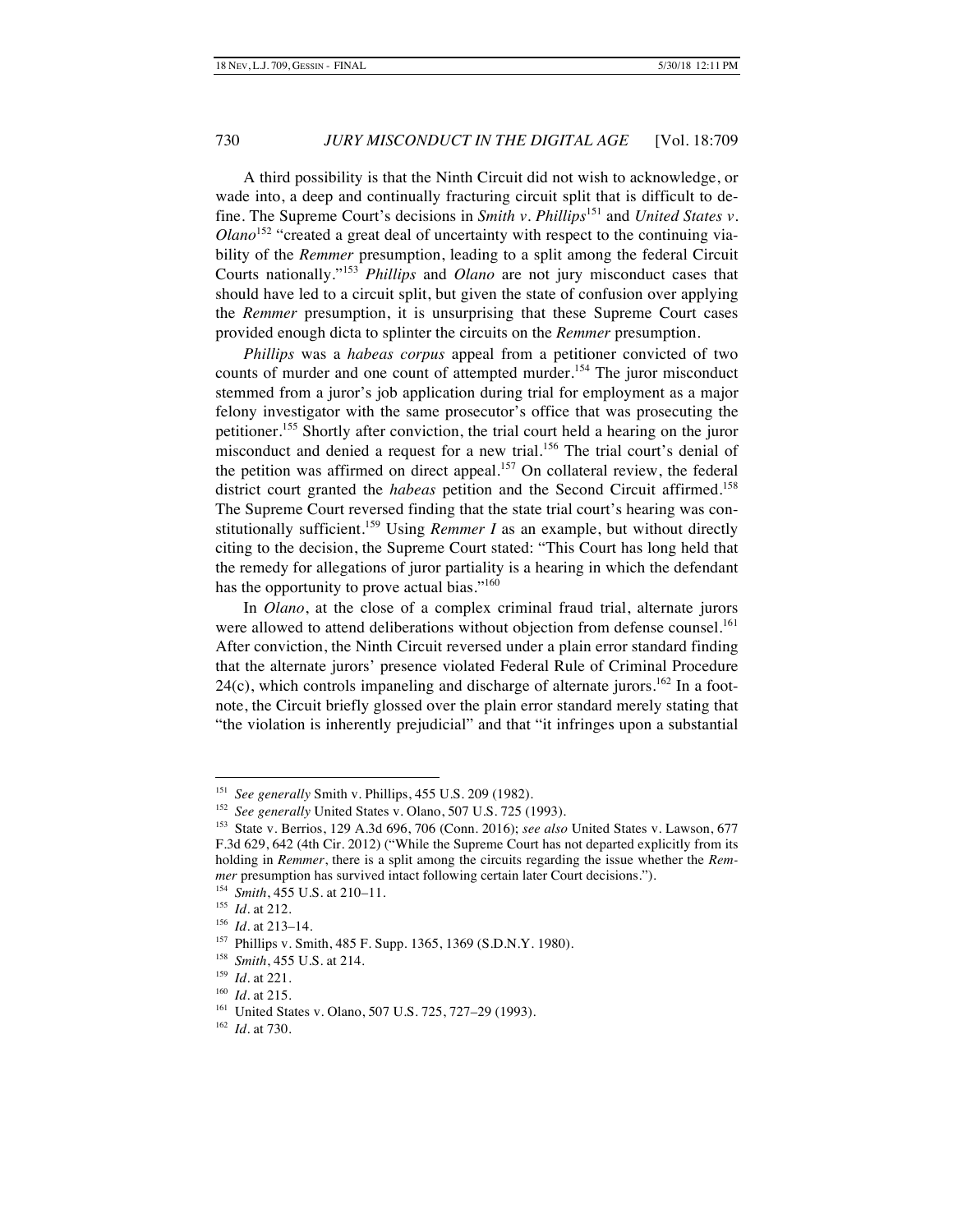A third possibility is that the Ninth Circuit did not wish to acknowledge, or wade into, a deep and continually fracturing circuit split that is difficult to define. The Supreme Court's decisions in *Smith v. Phillips*<sup>151</sup> and *United States v. Olano*<sup>152</sup> "created a great deal of uncertainty with respect to the continuing viability of the *Remmer* presumption, leading to a split among the federal Circuit Courts nationally."<sup>153</sup> *Phillips* and *Olano* are not jury misconduct cases that should have led to a circuit split, but given the state of confusion over applying the *Remmer* presumption, it is unsurprising that these Supreme Court cases provided enough dicta to splinter the circuits on the *Remmer* presumption.

*Phillips* was a *habeas corpus* appeal from a petitioner convicted of two counts of murder and one count of attempted murder.<sup>154</sup> The juror misconduct stemmed from a juror's job application during trial for employment as a major felony investigator with the same prosecutor's office that was prosecuting the petitioner.<sup>155</sup> Shortly after conviction, the trial court held a hearing on the juror misconduct and denied a request for a new trial.<sup>156</sup> The trial court's denial of the petition was affirmed on direct appeal.<sup>157</sup> On collateral review, the federal district court granted the *habeas* petition and the Second Circuit affirmed.<sup>158</sup> The Supreme Court reversed finding that the state trial court's hearing was constitutionally sufficient.<sup>159</sup> Using *Remmer I* as an example, but without directly citing to the decision, the Supreme Court stated: "This Court has long held that the remedy for allegations of juror partiality is a hearing in which the defendant has the opportunity to prove actual bias."<sup>160</sup>

In *Olano*, at the close of a complex criminal fraud trial, alternate jurors were allowed to attend deliberations without objection from defense counsel.<sup>161</sup> After conviction, the Ninth Circuit reversed under a plain error standard finding that the alternate jurors' presence violated Federal Rule of Criminal Procedure  $24(c)$ , which controls impaneling and discharge of alternate jurors.<sup>162</sup> In a footnote, the Circuit briefly glossed over the plain error standard merely stating that "the violation is inherently prejudicial" and that "it infringes upon a substantial

 <sup>151</sup> *See generally* Smith v. Phillips, 455 U.S. 209 (1982).

<sup>&</sup>lt;sup>152</sup> *See generally* United States v. Olano, 507 U.S. 725 (1993).

<sup>153</sup> State v. Berrios, 129 A.3d 696, 706 (Conn. 2016); *see also* United States v. Lawson, 677 F.3d 629, 642 (4th Cir. 2012) ("While the Supreme Court has not departed explicitly from its holding in *Remmer*, there is a split among the circuits regarding the issue whether the *Remmer* presumption has survived intact following certain later Court decisions.").

<sup>154</sup> *Smith*, 455 U.S. at 210–11.

<sup>155</sup> *Id.* at 212.

<sup>156</sup> *Id.* at 213–14.

<sup>157</sup> Phillips v. Smith, 485 F. Supp. 1365, 1369 (S.D.N.Y. 1980).

<sup>158</sup> *Smith*, 455 U.S. at 214.

<sup>159</sup> *Id.* at 221.

<sup>160</sup> *Id.* at 215.

<sup>161</sup> United States v. Olano, 507 U.S. 725, 727–29 (1993).

<sup>162</sup> *Id.* at 730.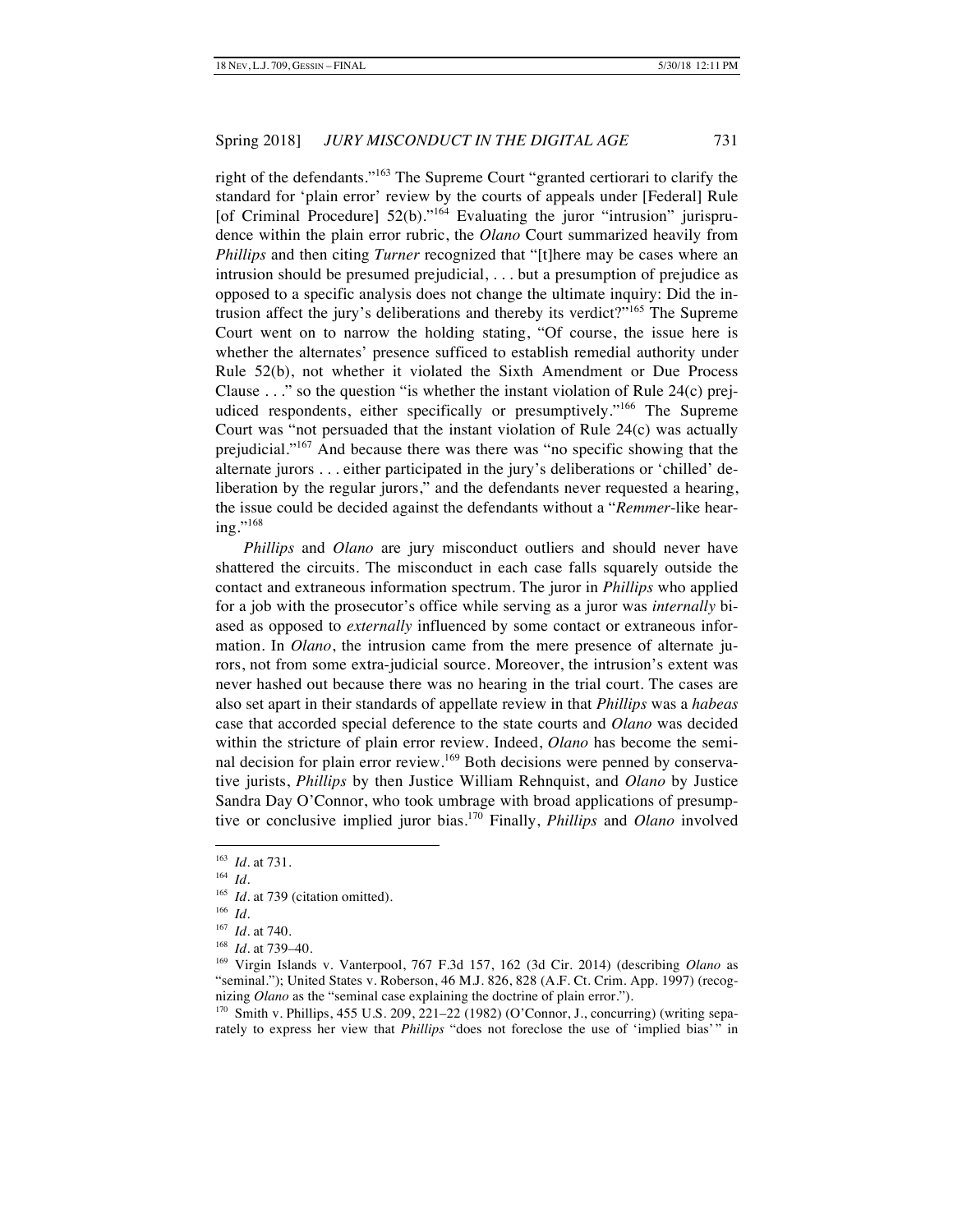right of the defendants."<sup>163</sup> The Supreme Court "granted certiorari to clarify the standard for 'plain error' review by the courts of appeals under [Federal] Rule [of Criminal Procedure] 52(b)."<sup>164</sup> Evaluating the juror "intrusion" jurisprudence within the plain error rubric, the *Olano* Court summarized heavily from *Phillips* and then citing *Turner* recognized that "[t]here may be cases where an intrusion should be presumed prejudicial, . . . but a presumption of prejudice as opposed to a specific analysis does not change the ultimate inquiry: Did the intrusion affect the jury's deliberations and thereby its verdict?"<sup>165</sup> The Supreme Court went on to narrow the holding stating, "Of course, the issue here is whether the alternates' presence sufficed to establish remedial authority under Rule 52(b), not whether it violated the Sixth Amendment or Due Process Clause . . ." so the question "is whether the instant violation of Rule 24(c) prejudiced respondents, either specifically or presumptively."<sup>166</sup> The Supreme Court was "not persuaded that the instant violation of Rule 24(c) was actually prejudicial."<sup>167</sup> And because there was there was "no specific showing that the alternate jurors . . . either participated in the jury's deliberations or 'chilled' deliberation by the regular jurors," and the defendants never requested a hearing, the issue could be decided against the defendants without a "*Remmer*-like hearing."<sup>168</sup>

*Phillips* and *Olano* are jury misconduct outliers and should never have shattered the circuits. The misconduct in each case falls squarely outside the contact and extraneous information spectrum. The juror in *Phillips* who applied for a job with the prosecutor's office while serving as a juror was *internally* biased as opposed to *externally* influenced by some contact or extraneous information. In *Olano*, the intrusion came from the mere presence of alternate jurors, not from some extra-judicial source. Moreover, the intrusion's extent was never hashed out because there was no hearing in the trial court. The cases are also set apart in their standards of appellate review in that *Phillips* was a *habeas* case that accorded special deference to the state courts and *Olano* was decided within the stricture of plain error review. Indeed, *Olano* has become the seminal decision for plain error review.<sup>169</sup> Both decisions were penned by conservative jurists, *Phillips* by then Justice William Rehnquist, and *Olano* by Justice Sandra Day O'Connor, who took umbrage with broad applications of presumptive or conclusive implied juror bias.170 Finally, *Phillips* and *Olano* involved

 <sup>163</sup> *Id.* at 731.

<sup>164</sup> *Id.*

<sup>&</sup>lt;sup>165</sup> *Id.* at 739 (citation omitted).

<sup>166</sup> *Id.*

<sup>167</sup> *Id.* at 740.

<sup>168</sup> *Id.* at 739–40.

<sup>169</sup> Virgin Islands v. Vanterpool, 767 F.3d 157, 162 (3d Cir. 2014) (describing *Olano* as "seminal."); United States v. Roberson, 46 M.J. 826, 828 (A.F. Ct. Crim. App. 1997) (recognizing *Olano* as the "seminal case explaining the doctrine of plain error.").

 $170$  Smith v. Phillips, 455 U.S. 209, 221–22 (1982) (O'Connor, J., concurring) (writing separately to express her view that *Phillips* "does not foreclose the use of 'implied bias'" in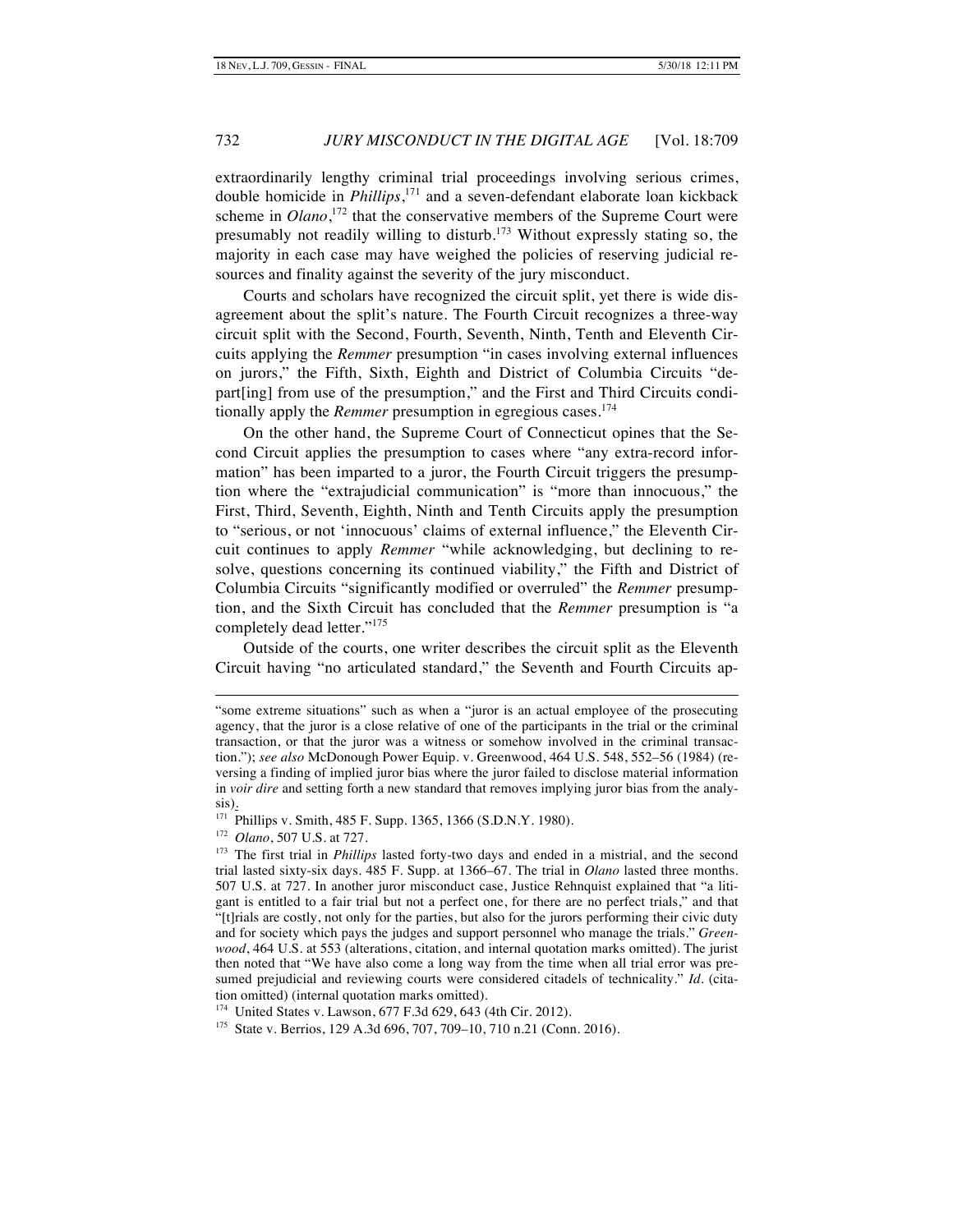extraordinarily lengthy criminal trial proceedings involving serious crimes, double homicide in *Phillips*, <sup>171</sup> and a seven-defendant elaborate loan kickback scheme in *Olano*<sup>172</sup> that the conservative members of the Supreme Court were presumably not readily willing to disturb.<sup>173</sup> Without expressly stating so, the majority in each case may have weighed the policies of reserving judicial resources and finality against the severity of the jury misconduct.

Courts and scholars have recognized the circuit split, yet there is wide disagreement about the split's nature. The Fourth Circuit recognizes a three-way circuit split with the Second, Fourth, Seventh, Ninth, Tenth and Eleventh Circuits applying the *Remmer* presumption "in cases involving external influences on jurors," the Fifth, Sixth, Eighth and District of Columbia Circuits "depart[ing] from use of the presumption," and the First and Third Circuits conditionally apply the *Remmer* presumption in egregious cases.<sup>174</sup>

On the other hand, the Supreme Court of Connecticut opines that the Second Circuit applies the presumption to cases where "any extra-record information" has been imparted to a juror, the Fourth Circuit triggers the presumption where the "extrajudicial communication" is "more than innocuous," the First, Third, Seventh, Eighth, Ninth and Tenth Circuits apply the presumption to "serious, or not 'innocuous' claims of external influence," the Eleventh Circuit continues to apply *Remmer* "while acknowledging, but declining to resolve, questions concerning its continued viability," the Fifth and District of Columbia Circuits "significantly modified or overruled" the *Remmer* presumption, and the Sixth Circuit has concluded that the *Remmer* presumption is "a completely dead letter."<sup>175</sup>

Outside of the courts, one writer describes the circuit split as the Eleventh Circuit having "no articulated standard," the Seventh and Fourth Circuits ap-

172 *Olano*, 507 U.S. at 727.

-

174 United States v. Lawson, 677 F.3d 629, 643 (4th Cir. 2012).

175 State v. Berrios, 129 A.3d 696, 707, 709–10, 710 n.21 (Conn. 2016).

<sup>&</sup>quot;some extreme situations" such as when a "juror is an actual employee of the prosecuting agency, that the juror is a close relative of one of the participants in the trial or the criminal transaction, or that the juror was a witness or somehow involved in the criminal transaction."); *see also* McDonough Power Equip. v. Greenwood, 464 U.S. 548, 552–56 (1984) (reversing a finding of implied juror bias where the juror failed to disclose material information in *voir dire* and setting forth a new standard that removes implying juror bias from the analysis).

<sup>171</sup> Phillips v. Smith, 485 F. Supp. 1365, 1366 (S.D.N.Y. 1980).

<sup>173</sup> The first trial in *Phillips* lasted forty-two days and ended in a mistrial, and the second trial lasted sixty-six days. 485 F. Supp. at 1366–67. The trial in *Olano* lasted three months. 507 U.S. at 727. In another juror misconduct case, Justice Rehnquist explained that "a litigant is entitled to a fair trial but not a perfect one, for there are no perfect trials," and that "[t]rials are costly, not only for the parties, but also for the jurors performing their civic duty and for society which pays the judges and support personnel who manage the trials." *Greenwood*, 464 U.S. at 553 (alterations, citation, and internal quotation marks omitted). The jurist then noted that "We have also come a long way from the time when all trial error was presumed prejudicial and reviewing courts were considered citadels of technicality." *Id.* (citation omitted) (internal quotation marks omitted).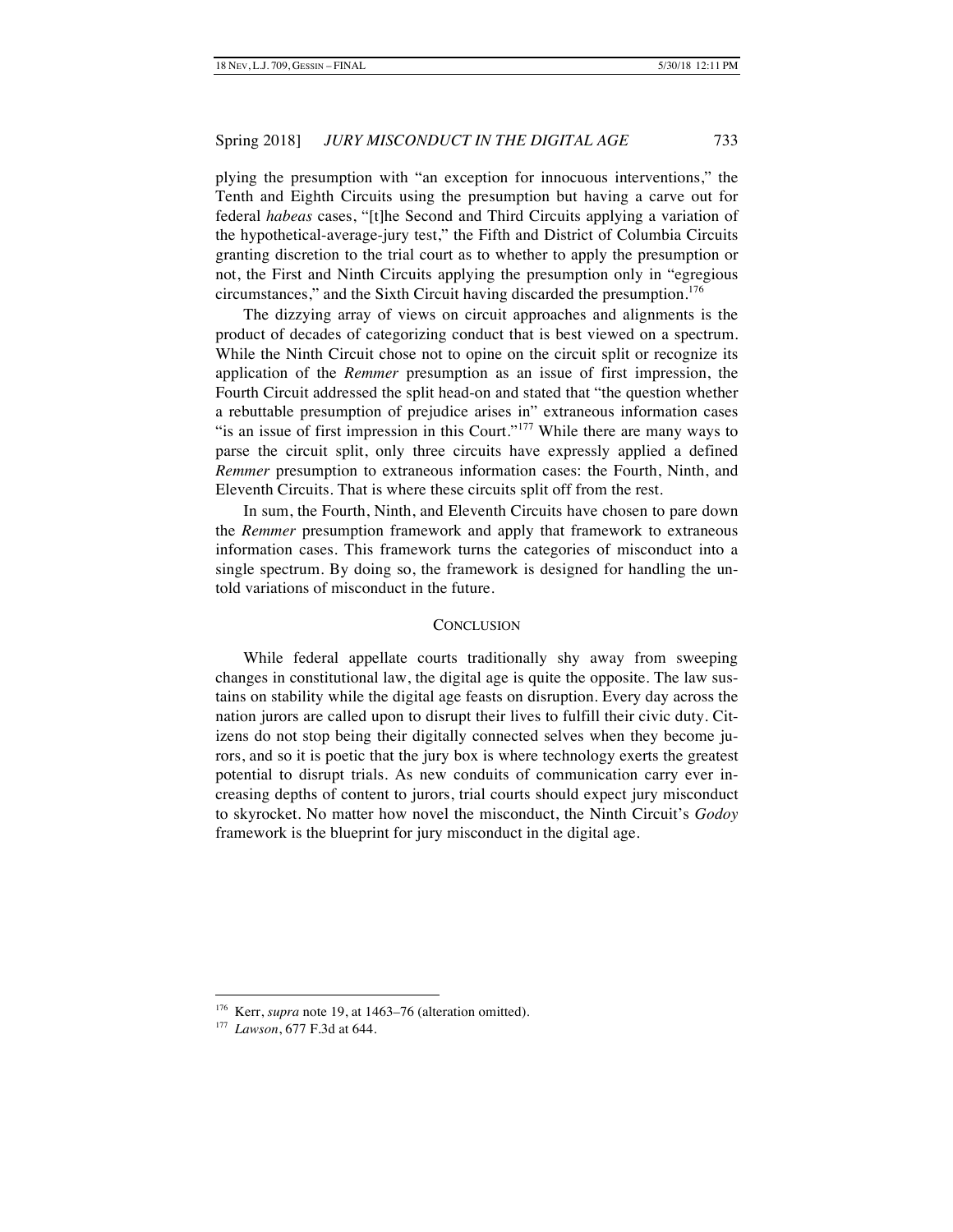plying the presumption with "an exception for innocuous interventions," the Tenth and Eighth Circuits using the presumption but having a carve out for federal *habeas* cases, "[t]he Second and Third Circuits applying a variation of the hypothetical-average-jury test," the Fifth and District of Columbia Circuits granting discretion to the trial court as to whether to apply the presumption or not, the First and Ninth Circuits applying the presumption only in "egregious circumstances," and the Sixth Circuit having discarded the presumption.<sup>176</sup>

The dizzying array of views on circuit approaches and alignments is the product of decades of categorizing conduct that is best viewed on a spectrum. While the Ninth Circuit chose not to opine on the circuit split or recognize its application of the *Remmer* presumption as an issue of first impression, the Fourth Circuit addressed the split head-on and stated that "the question whether a rebuttable presumption of prejudice arises in" extraneous information cases "is an issue of first impression in this Court."<sup>177</sup> While there are many ways to parse the circuit split, only three circuits have expressly applied a defined *Remmer* presumption to extraneous information cases: the Fourth, Ninth, and Eleventh Circuits. That is where these circuits split off from the rest.

In sum, the Fourth, Ninth, and Eleventh Circuits have chosen to pare down the *Remmer* presumption framework and apply that framework to extraneous information cases. This framework turns the categories of misconduct into a single spectrum. By doing so, the framework is designed for handling the untold variations of misconduct in the future.

#### **CONCLUSION**

While federal appellate courts traditionally shy away from sweeping changes in constitutional law, the digital age is quite the opposite. The law sustains on stability while the digital age feasts on disruption. Every day across the nation jurors are called upon to disrupt their lives to fulfill their civic duty. Citizens do not stop being their digitally connected selves when they become jurors, and so it is poetic that the jury box is where technology exerts the greatest potential to disrupt trials. As new conduits of communication carry ever increasing depths of content to jurors, trial courts should expect jury misconduct to skyrocket. No matter how novel the misconduct, the Ninth Circuit's *Godoy*  framework is the blueprint for jury misconduct in the digital age.

<sup>&</sup>lt;sup>176</sup> Kerr, *supra* note 19, at 1463–76 (alteration omitted).

<sup>177</sup> *Lawson*, 677 F.3d at 644.